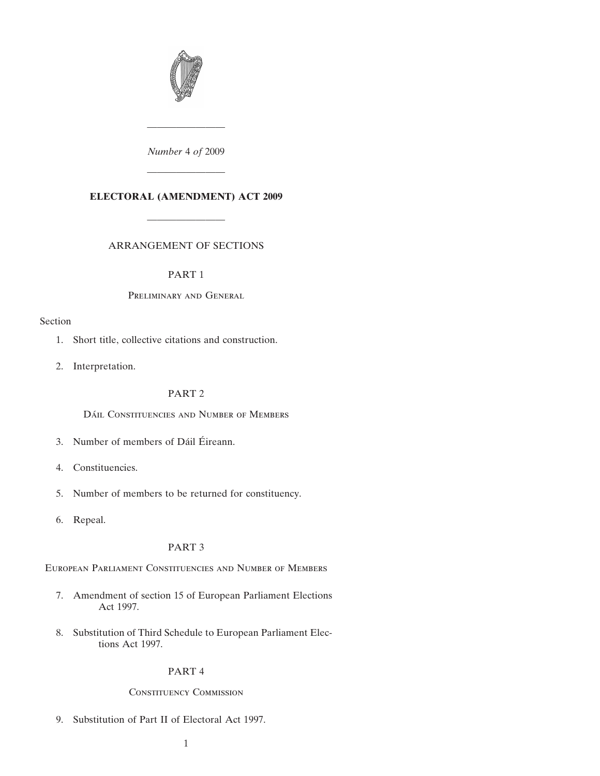

*Number* 4 *of* 2009

————————

# **ELECTORAL (AMENDMENT) ACT 2009**

————————

————————

#### ARRANGEMENT OF SECTIONS

#### [PART 1](#page-2-0)

#### [P](#page-2-0)reliminary and General

#### [Se](#page-2-0)ction

- [1. Short title, collective citations and construction.](#page-2-0)
- [2. Interpretation.](#page-2-0)

## [PART 2](#page-3-0)

[D](#page-3-0)ÁIL CONSTITUENCIES AND NUMBER OF MEMBERS

- 3. Number of members of Dáil Éireann.
- [4. Constituencies.](#page-3-0)
- [5. Number of members to be returned for constituency.](#page-3-0)
- [6. Repeal.](#page-3-0)

### [PART 3](#page-3-0)

[E](#page-3-0)uropean Parliament Constituencies and Number of Members

- [7. Amendment of section 15 of European Parliament Elections](#page-3-0) [Act 1997.](#page-3-0)
- [8. Substitution of Third Schedule to European Parliament Elec](#page-3-0)[tions Act 1997.](#page-3-0)

#### [PART 4](#page-4-0)

#### [C](#page-4-0)onstituency Commission

[9. Substitution of Part II of Electoral Act 1997.](#page-4-0)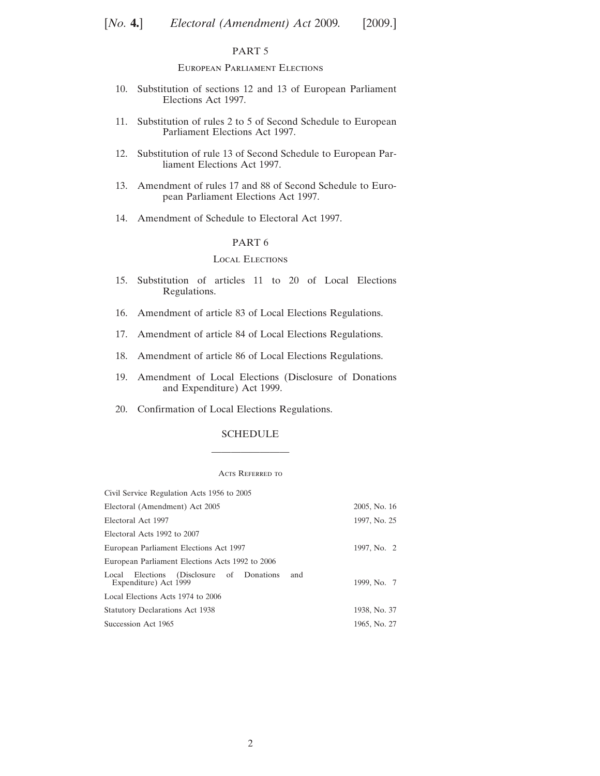#### [PART 5](#page-10-0)

#### [E](#page-10-0)uropean Parliament Elections

- [10. Substitution of sections 12 and 13 of European Parliament](#page-10-0) [Elections Act 1997.](#page-10-0)
- [11. Substitution of rules 2 to 5 of Second Schedule to European](#page-14-0) [Parliament Elections Act 1997.](#page-14-0)
- [12. Substitution of rule 13 of Second Schedule to European Par](#page-17-0)[liament Elections Act 1997.](#page-17-0)
- [13. Amendment of rules 17 and 88 of Second Schedule to Euro](#page-19-0)[pean Parliament Elections Act 1997.](#page-19-0)
- [14. Amendment of Schedule to Electoral Act 1997.](#page-19-0)

#### [PART 6](#page-20-0)

#### [L](#page-20-0)ocal Elections

- [15. Substitution of articles 11 to 20 of Local Elections](#page-20-0) [Regulations.](#page-20-0)
- [16. Amendment of article 83 of Local Elections Regulations.](#page-27-0)
- [17. Amendment of article 84 of Local Elections Regulations.](#page-28-0)
- [18. Amendment of article 86 of Local Elections Regulations.](#page-28-0)
- [19. Amendment of Local Elections \(Disclosure of Donations](#page-28-0) [and Expenditure\) Act 1999.](#page-28-0)
- [20. Confirmation of Local Elections Regulations.](#page-28-0)

# [SCHEDULE](#page-29-0) ————————

#### ACTS REFERRED TO

| Civil Service Regulation Acts 1956 to 2005                                  |              |
|-----------------------------------------------------------------------------|--------------|
| Electoral (Amendment) Act 2005                                              | 2005, No. 16 |
| Electoral Act 1997                                                          | 1997, No. 25 |
| Electoral Acts 1992 to 2007                                                 |              |
| European Parliament Elections Act 1997                                      | 1997, No. 2  |
| European Parliament Elections Acts 1992 to 2006                             |              |
| Elections (Disclosure of Donations<br>and<br>Local<br>Expenditure) Act 1999 | 1999, No. 7  |
| Local Elections Acts 1974 to 2006                                           |              |
| <b>Statutory Declarations Act 1938</b>                                      | 1938, No. 37 |
| Succession Act 1965                                                         | 1965, No. 27 |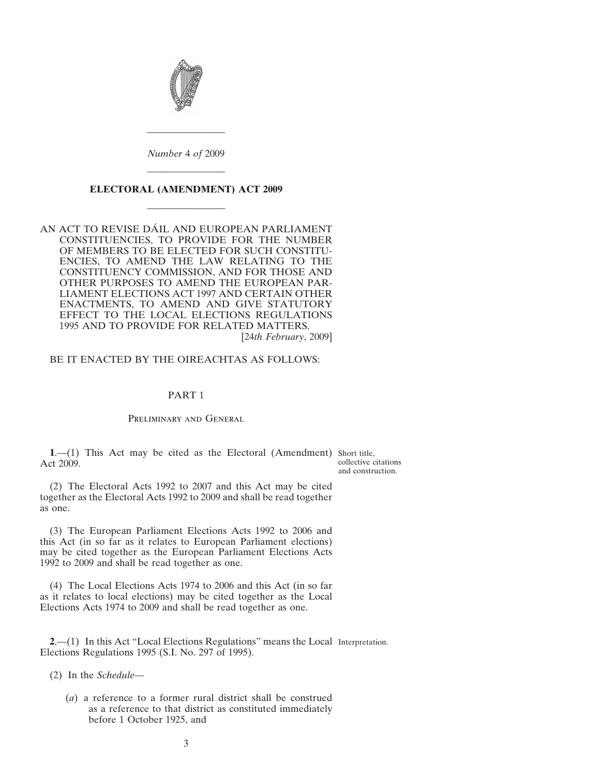<span id="page-2-0"></span>

*Number* 4 *of* 2009

————————

# ———————— **ELECTORAL (AMENDMENT) ACT 2009** ————————

AN ACT TO REVISE DÁIL AND EUROPEAN PARLIAMENT CONSTITUENCIES, TO PROVIDE FOR THE NUMBER OF MEMBERS TO BE ELECTED FOR SUCH CONSTITU-ENCIES, TO AMEND THE LAW RELATING TO THE CONSTITUENCY COMMISSION, AND FOR THOSE AND OTHER PURPOSES TO AMEND THE EUROPEAN PAR-LIAMENT ELECTIONS ACT 1997 AND CERTAIN OTHER ENACTMENTS, TO AMEND AND GIVE STATUTORY EFFECT TO THE LOCAL ELECTIONS REGULATIONS 1995 AND TO PROVIDE FOR RELATED MATTERS. [24*th February*, 2009]

#### BE IT ENACTED BY THE OIREACHTAS AS FOLLOWS:

#### PART 1

#### Preliminary and General

**1.**—(1) This Act may be cited as the Electoral (Amendment) Short title, Act 2009.

collective citations and construction.

(2) The Electoral Acts 1992 to 2007 and this Act may be cited together as the Electoral Acts 1992 to 2009 and shall be read together as one.

(3) The European Parliament Elections Acts 1992 to 2006 and this Act (in so far as it relates to European Parliament elections) may be cited together as the European Parliament Elections Acts 1992 to 2009 and shall be read together as one.

(4) The Local Elections Acts 1974 to 2006 and this Act (in so far as it relates to local elections) may be cited together as the Local Elections Acts 1974 to 2009 and shall be read together as one.

**2**.—(1) In this Act "Local Elections Regulations" means the Local Interpretation.Elections Regulations 1995 (S.I. No. 297 of 1995).

(2) In the *[Schedule](#page-29-0)*—

(*a*) a reference to a former rural district shall be construed as a reference to that district as constituted immediately before 1 October 1925, and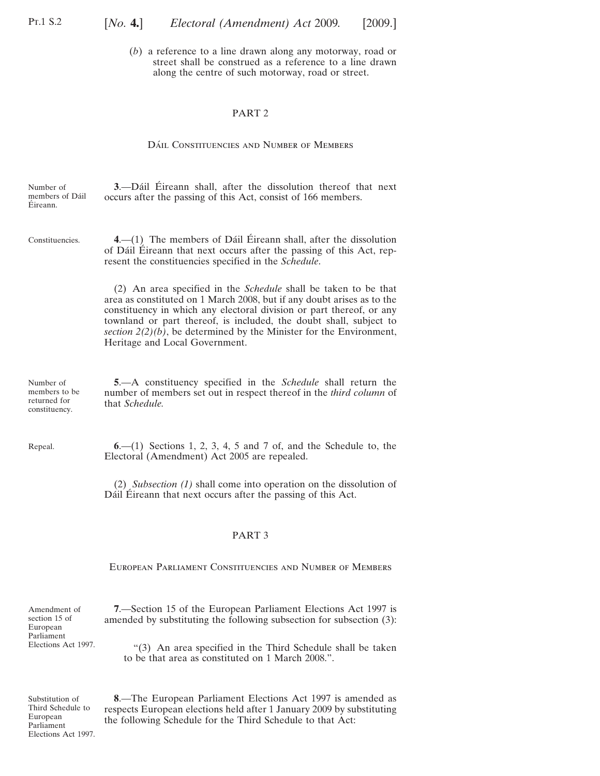<span id="page-3-0"></span>(*b*) a reference to a line drawn along any motorway, road or street shall be construed as a reference to a line drawn along the centre of such motorway, road or street.

#### PART 2

#### DÁIL CONSTITUENCIES AND NUMBER OF MEMBERS

| Number of<br>members of Dáil<br>Éireann.                    | 3.—Dáil Éireann shall, after the dissolution thereof that next<br>occurs after the passing of this Act, consist of 166 members.                                                                                                                                                                                                                                                                            |
|-------------------------------------------------------------|------------------------------------------------------------------------------------------------------------------------------------------------------------------------------------------------------------------------------------------------------------------------------------------------------------------------------------------------------------------------------------------------------------|
| Constituencies.                                             | $4-$ (1) The members of Dáil Éireann shall, after the dissolution<br>of Dáil Éireann that next occurs after the passing of this Act, rep-<br>resent the constituencies specified in the Schedule.                                                                                                                                                                                                          |
|                                                             | (2) An area specified in the <i>Schedule</i> shall be taken to be that<br>area as constituted on 1 March 2008, but if any doubt arises as to the<br>constituency in which any electoral division or part thereof, or any<br>townland or part thereof, is included, the doubt shall, subject to<br>section $2(2)(b)$ , be determined by the Minister for the Environment,<br>Heritage and Local Government. |
| Number of<br>members to be<br>returned for<br>constituency. | 5.—A constituency specified in the <i>Schedule</i> shall return the<br>number of members set out in respect thereof in the third column of<br>that <i>Schedule</i> .                                                                                                                                                                                                                                       |
| Repeal.                                                     | $6-(1)$ Sections 1, 2, 3, 4, 5 and 7 of, and the Schedule to, the<br>Electoral (Amendment) Act 2005 are repealed.                                                                                                                                                                                                                                                                                          |

(2) *Subsection (1)* shall come into operation on the dissolution of Dáil Éireann that next occurs after the passing of this Act.

#### PART 3

European Parliament Constituencies and Number of Members

Amendment of section 15 of European Parliament Elections Act 1997.

**7**.—Section 15 of the European Parliament Elections Act 1997 is amended by substituting the following subsection for subsection (3):

"(3) An area specified in the Third Schedule shall be taken to be that area as constituted on 1 March 2008.".

Substitution of Third Schedule to European Parliament Elections Act 1997.

**8**.—The European Parliament Elections Act 1997 is amended as respects European elections held after 1 January 2009 by substituting the following Schedule for the Third Schedule to that Act: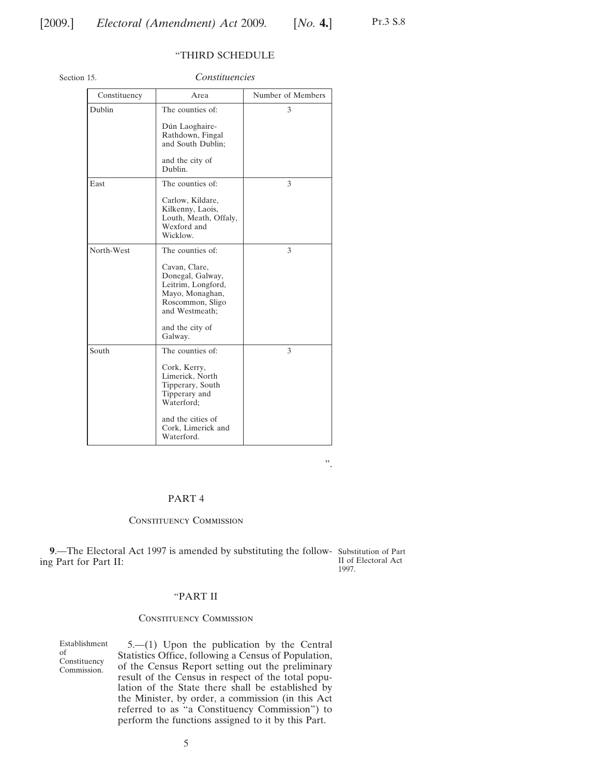#### "THIRD SCHEDULE

<span id="page-4-0"></span>Section 15.

*Constituencies*

| Constituency | Area                                                                                                             | Number of Members |
|--------------|------------------------------------------------------------------------------------------------------------------|-------------------|
| Dublin       | The counties of:                                                                                                 | 3                 |
|              | Dún Laoghaire-<br>Rathdown, Fingal<br>and South Dublin;                                                          |                   |
|              | and the city of<br>Dublin.                                                                                       |                   |
| East         | The counties of:                                                                                                 | 3                 |
|              | Carlow, Kildare,<br>Kilkenny, Laois,<br>Louth, Meath, Offaly,<br>Wexford and<br>Wicklow.                         |                   |
| North-West   | The counties of:                                                                                                 | 3                 |
|              | Cavan, Clare,<br>Donegal, Galway,<br>Leitrim, Longford,<br>Mayo, Monaghan,<br>Roscommon, Sligo<br>and Westmeath; |                   |
|              | and the city of<br>Galway.                                                                                       |                   |
| South        | The counties of:                                                                                                 | 3                 |
|              | Cork, Kerry,<br>Limerick, North<br>Tipperary, South<br>Tipperary and<br>Waterford;                               |                   |
|              | and the cities of<br>Cork, Limerick and<br>Waterford.                                                            |                   |

".

#### PART 4

#### Constituency Commission

**9**.—The Electoral Act 1997 is amended by substituting the follow-Substitution of Part ing Part for Part II: II of Electoral Act 1997.

# "PART II

#### Constituency Commission

Establishment of Constituency Commission.

5.—(1) Upon the publication by the Central Statistics Office, following a Census of Population, of the Census Report setting out the preliminary result of the Census in respect of the total population of the State there shall be established by the Minister, by order, a commission (in this Act referred to as "a Constituency Commission") to perform the functions assigned to it by this Part.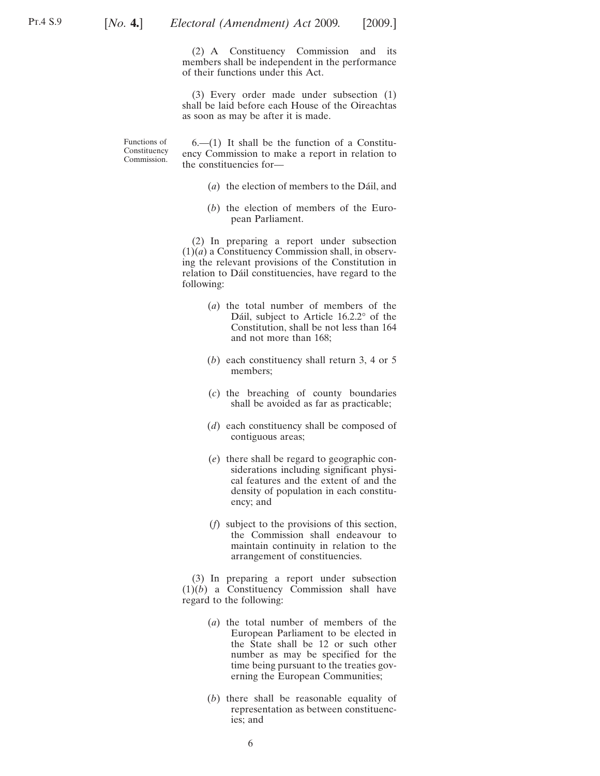(2) A Constituency Commission and its members shall be independent in the performance of their functions under this Act.

(3) Every order made under subsection (1) shall be laid before each House of the Oireachtas as soon as may be after it is made.

Functions of Constituency Commission.

 $6-(1)$  It shall be the function of a Constituency Commission to make a report in relation to the constituencies for—

- (*a*) the election of members to the Dáil, and
- (*b*) the election of members of the European Parliament.

(2) In preparing a report under subsection  $(1)(a)$  a Constituency Commission shall, in observing the relevant provisions of the Constitution in relation to Dáil constituencies, have regard to the following:

- (*a*) the total number of members of the Dáil, subject to Article  $16.2.2^{\circ}$  of the Constitution, shall be not less than 164 and not more than 168;
- (*b*) each constituency shall return 3, 4 or 5 members;
- (*c*) the breaching of county boundaries shall be avoided as far as practicable;
- (*d*) each constituency shall be composed of contiguous areas;
- (*e*) there shall be regard to geographic considerations including significant physical features and the extent of and the density of population in each constituency; and
- (*f*) subject to the provisions of this section, the Commission shall endeavour to maintain continuity in relation to the arrangement of constituencies.

(3) In preparing a report under subsection (1)(*b*) a Constituency Commission shall have regard to the following:

- (*a*) the total number of members of the European Parliament to be elected in the State shall be 12 or such other number as may be specified for the time being pursuant to the treaties governing the European Communities;
- (*b*) there shall be reasonable equality of representation as between constituencies; and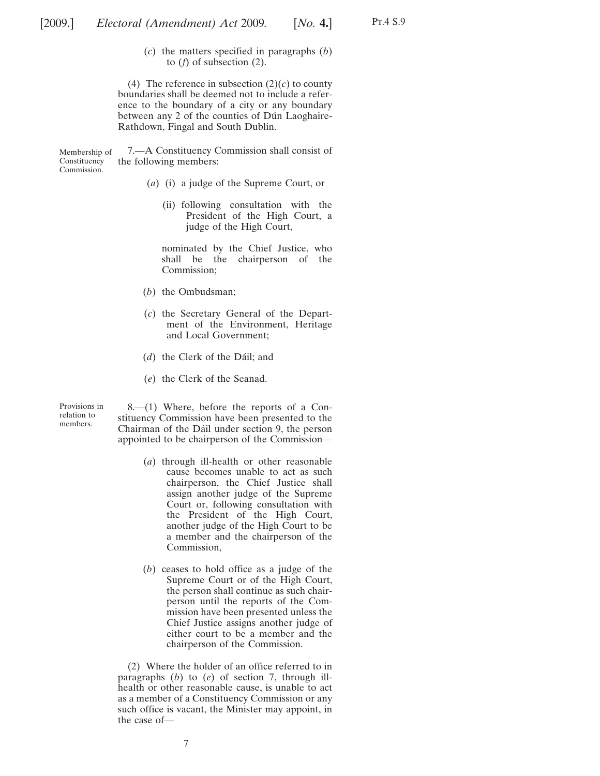(*c*) the matters specified in paragraphs (*b*) to (*f*) of subsection (2).

(4) The reference in subsection  $(2)(c)$  to county boundaries shall be deemed not to include a reference to the boundary of a city or any boundary between any 2 of the counties of Dún Laoghaire-Rathdown, Fingal and South Dublin.

Membership of Constituency Commission. 7.—A Constituency Commission shall consist of the following members:

- (*a*) (i) a judge of the Supreme Court, or
	- (ii) following consultation with the President of the High Court, a judge of the High Court,

nominated by the Chief Justice, who shall be the chairperson of the Commission;

- (*b*) the Ombudsman;
- (*c*) the Secretary General of the Department of the Environment, Heritage and Local Government;
- (*d*) the Clerk of the Dáil; and
- (*e*) the Clerk of the Seanad.

Provisions in relation to members.

8.—(1) Where, before the reports of a Constituency Commission have been presented to the Chairman of the Dáil under section 9, the person appointed to be chairperson of the Commission—

- (*a*) through ill-health or other reasonable cause becomes unable to act as such chairperson, the Chief Justice shall assign another judge of the Supreme Court or, following consultation with the President of the High Court, another judge of the High Court to be a member and the chairperson of the Commission,
- (*b*) ceases to hold office as a judge of the Supreme Court or of the High Court, the person shall continue as such chairperson until the reports of the Commission have been presented unless the Chief Justice assigns another judge of either court to be a member and the chairperson of the Commission.

(2) Where the holder of an office referred to in paragraphs (*b*) to (*e*) of section 7, through illhealth or other reasonable cause, is unable to act as a member of a Constituency Commission or any such office is vacant, the Minister may appoint, in the case of—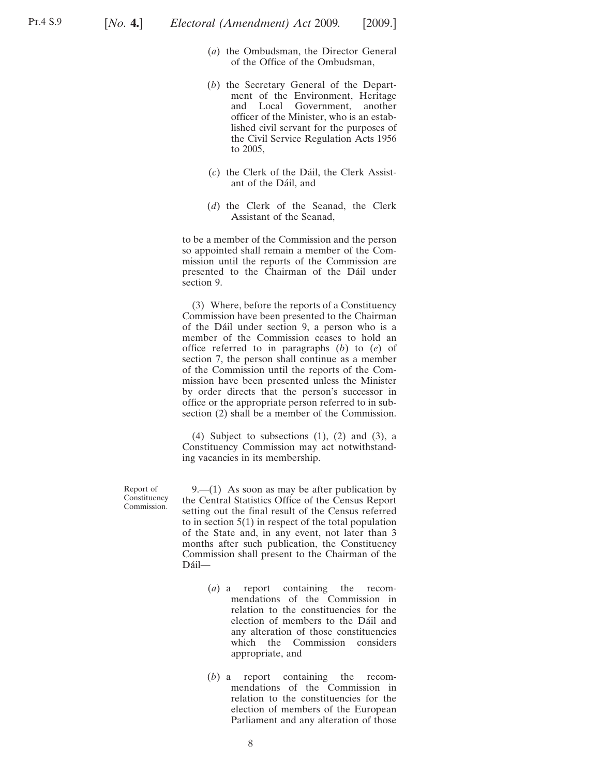- (*a*) the Ombudsman, the Director General of the Office of the Ombudsman,
- (*b*) the Secretary General of the Department of the Environment, Heritage and Local Government, another officer of the Minister, who is an established civil servant for the purposes of the Civil Service Regulation Acts 1956 to 2005,
- (*c*) the Clerk of the Da´il, the Clerk Assistant of the Dáil, and
- (*d*) the Clerk of the Seanad, the Clerk Assistant of the Seanad,

to be a member of the Commission and the person so appointed shall remain a member of the Commission until the reports of the Commission are presented to the Chairman of the Dáil under section 9.

(3) Where, before the reports of a Constituency Commission have been presented to the Chairman of the Da´il under section 9, a person who is a member of the Commission ceases to hold an office referred to in paragraphs (*b*) to (*e*) of section 7, the person shall continue as a member of the Commission until the reports of the Commission have been presented unless the Minister by order directs that the person's successor in office or the appropriate person referred to in subsection (2) shall be a member of the Commission.

(4) Subject to subsections  $(1)$ ,  $(2)$  and  $(3)$ , a Constituency Commission may act notwithstanding vacancies in its membership.

Report of **Constituency** Commission.

9.—(1) As soon as may be after publication by the Central Statistics Office of the Census Report setting out the final result of the Census referred to in section  $5(1)$  in respect of the total population of the State and, in any event, not later than 3 months after such publication, the Constituency Commission shall present to the Chairman of the Dáil-

- (*a*) a report containing the recommendations of the Commission in relation to the constituencies for the election of members to the Dáil and any alteration of those constituencies which the Commission considers appropriate, and
- (*b*) a report containing the recommendations of the Commission in relation to the constituencies for the election of members of the European Parliament and any alteration of those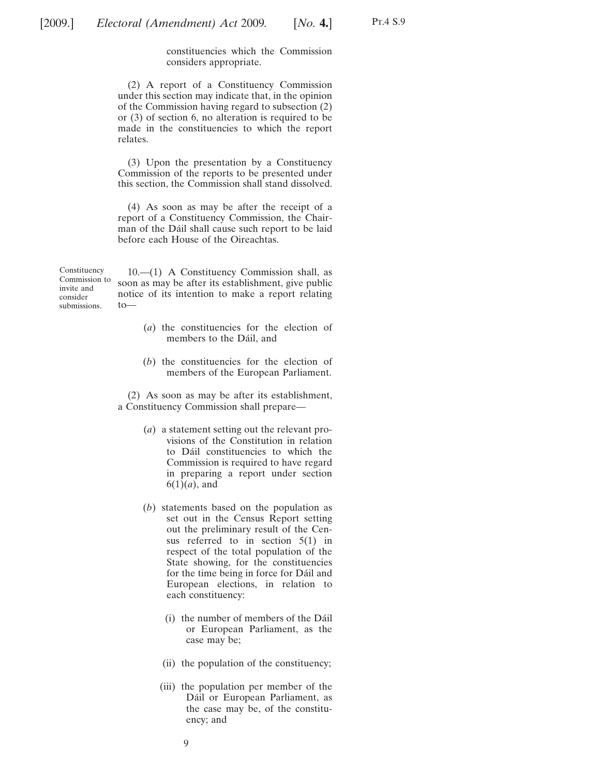constituencies which the Commission considers appropriate.

(2) A report of a Constituency Commission under this section may indicate that, in the opinion of the Commission having regard to subsection (2) or (3) of section 6, no alteration is required to be made in the constituencies to which the report relates.

(3) Upon the presentation by a Constituency Commission of the reports to be presented under this section, the Commission shall stand dissolved.

(4) As soon as may be after the receipt of a report of a Constituency Commission, the Chairman of the Dáil shall cause such report to be laid before each House of the Oireachtas.

Constituency Commission to invite and consider submissions. 10.—(1) A Constituency Commission shall, as soon as may be after its establishment, give public notice of its intention to make a report relating to—

- (*a*) the constituencies for the election of members to the Dáil, and
- (*b*) the constituencies for the election of members of the European Parliament.

(2) As soon as may be after its establishment, a Constituency Commission shall prepare—

- (*a*) a statement setting out the relevant provisions of the Constitution in relation to Dáil constituencies to which the Commission is required to have regard in preparing a report under section  $6(1)(a)$ , and
- (*b*) statements based on the population as set out in the Census Report setting out the preliminary result of the Census referred to in section 5(1) in respect of the total population of the State showing, for the constituencies for the time being in force for Da<sup>il</sup> and European elections, in relation to each constituency:
	- (i) the number of members of the Da´il or European Parliament, as the case may be;
	- (ii) the population of the constituency;
	- (iii) the population per member of the Dáil or European Parliament, as the case may be, of the constituency; and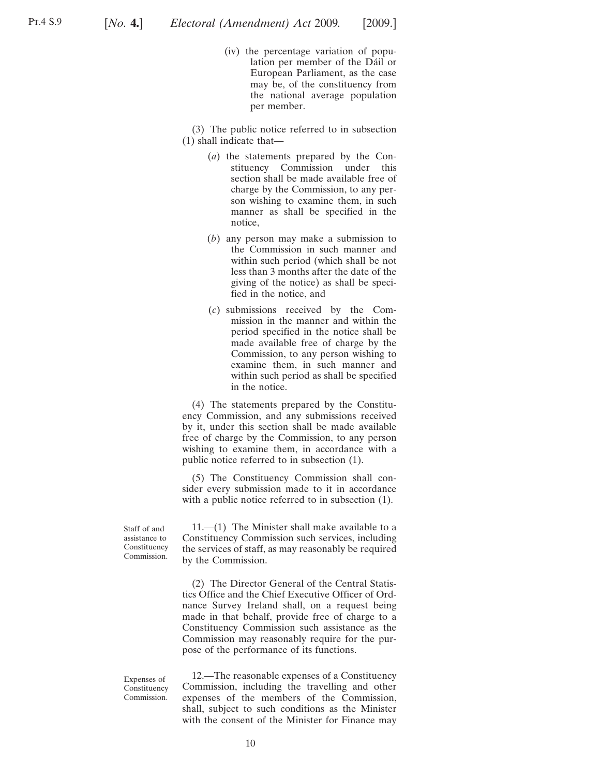(iv) the percentage variation of population per member of the Dáil or European Parliament, as the case may be, of the constituency from the national average population per member.

(3) The public notice referred to in subsection (1) shall indicate that—

- (*a*) the statements prepared by the Constituency Commission under this section shall be made available free of charge by the Commission, to any person wishing to examine them, in such manner as shall be specified in the notice,
- (*b*) any person may make a submission to the Commission in such manner and within such period (which shall be not less than 3 months after the date of the giving of the notice) as shall be specified in the notice, and
- (*c*) submissions received by the Commission in the manner and within the period specified in the notice shall be made available free of charge by the Commission, to any person wishing to examine them, in such manner and within such period as shall be specified in the notice.

(4) The statements prepared by the Constituency Commission, and any submissions received by it, under this section shall be made available free of charge by the Commission, to any person wishing to examine them, in accordance with a public notice referred to in subsection (1).

(5) The Constituency Commission shall consider every submission made to it in accordance with a public notice referred to in subsection (1).

Staff of and assistance to Constituency Commission.

11.—(1) The Minister shall make available to a Constituency Commission such services, including the services of staff, as may reasonably be required by the Commission.

(2) The Director General of the Central Statistics Office and the Chief Executive Officer of Ordnance Survey Ireland shall, on a request being made in that behalf, provide free of charge to a Constituency Commission such assistance as the Commission may reasonably require for the purpose of the performance of its functions.

Expenses of Constituency Commission.

12.—The reasonable expenses of a Constituency Commission, including the travelling and other expenses of the members of the Commission, shall, subject to such conditions as the Minister with the consent of the Minister for Finance may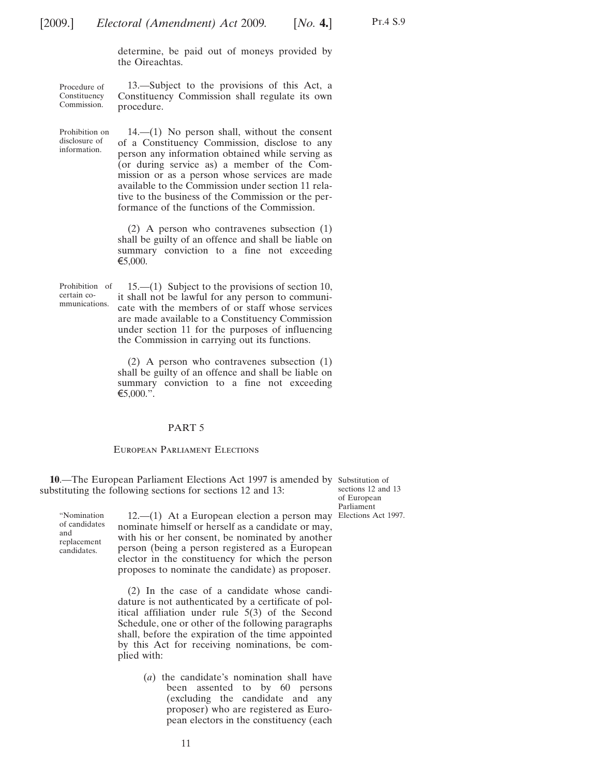determine, be paid out of moneys provided by the Oireachtas.

13.—Subject to the provisions of this Act, a

<span id="page-10-0"></span>Procedure of Constituency Commission. Constituency Commission shall regulate its own procedure.

Prohibition on disclosure of information.

14.—(1) No person shall, without the consent of a Constituency Commission, disclose to any person any information obtained while serving as (or during service as) a member of the Commission or as a person whose services are made available to the Commission under section 11 relative to the business of the Commission or the performance of the functions of the Commission.

(2) A person who contravenes subsection (1) shall be guilty of an offence and shall be liable on summary conviction to a fine not exceeding  $€5,000.$ 

Prohibition of certain communications.

"Nomination of candidates and replacement candidates.

15.—(1) Subject to the provisions of section 10, it shall not be lawful for any person to communicate with the members of or staff whose services are made available to a Constituency Commission under section 11 for the purposes of influencing the Commission in carrying out its functions.

(2) A person who contravenes subsection (1) shall be guilty of an offence and shall be liable on summary conviction to a fine not exceeding  $€5,000."$ .

#### PART 5

#### European Parliament Elections

10.—The European Parliament Elections Act 1997 is amended by Substitution of substituting the following sections for sections 12 and 13:

sections 12 and 13 of European Parliament

12.—(1) At a European election a person may Elections Act 1997.nominate himself or herself as a candidate or may, with his or her consent, be nominated by another person (being a person registered as a European elector in the constituency for which the person proposes to nominate the candidate) as proposer.

(2) In the case of a candidate whose candidature is not authenticated by a certificate of political affiliation under rule 5(3) of the Second Schedule, one or other of the following paragraphs shall, before the expiration of the time appointed by this Act for receiving nominations, be complied with:

> (*a*) the candidate's nomination shall have been assented to by 60 persons (excluding the candidate and any proposer) who are registered as European electors in the constituency (each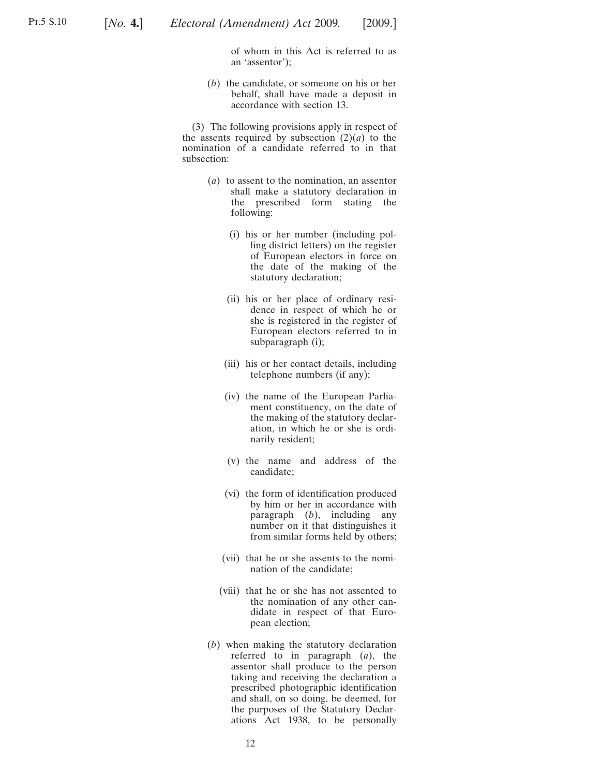of whom in this Act is referred to as an 'assentor');

(*b*) the candidate, or someone on his or her behalf, shall have made a deposit in accordance with section 13.

(3) The following provisions apply in respect of the assents required by subsection  $(2)(a)$  to the nomination of a candidate referred to in that subsection:

- (*a*) to assent to the nomination, an assentor shall make a statutory declaration in the prescribed form stating the following:
	- (i) his or her number (including polling district letters) on the register of European electors in force on the date of the making of the statutory declaration;
	- (ii) his or her place of ordinary residence in respect of which he or she is registered in the register of European electors referred to in subparagraph (i);
	- (iii) his or her contact details, including telephone numbers (if any);
	- (iv) the name of the European Parliament constituency, on the date of the making of the statutory declaration, in which he or she is ordinarily resident;
	- (v) the name and address of the candidate;
	- (vi) the form of identification produced by him or her in accordance with paragraph (*b*), including any number on it that distinguishes it from similar forms held by others;
	- (vii) that he or she assents to the nomination of the candidate;
	- (viii) that he or she has not assented to the nomination of any other candidate in respect of that European election;
- (*b*) when making the statutory declaration referred to in paragraph (*a*), the assentor shall produce to the person taking and receiving the declaration a prescribed photographic identification and shall, on so doing, be deemed, for the purposes of the Statutory Declarations Act 1938, to be personally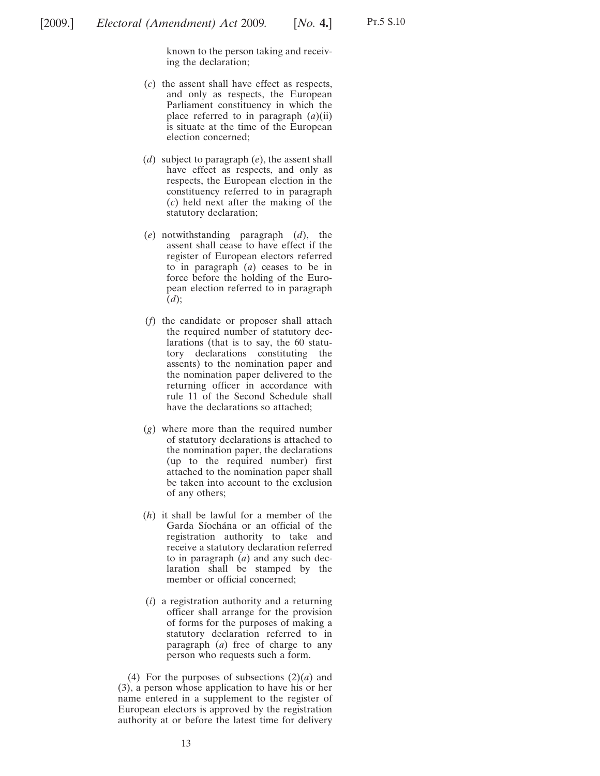known to the person taking and receiving the declaration;

- (*c*) the assent shall have effect as respects, and only as respects, the European Parliament constituency in which the place referred to in paragraph (*a*)(ii) is situate at the time of the European election concerned;
- (*d*) subject to paragraph (*e*), the assent shall have effect as respects, and only as respects, the European election in the constituency referred to in paragraph (*c*) held next after the making of the statutory declaration;
- (*e*) notwithstanding paragraph (*d*), the assent shall cease to have effect if the register of European electors referred to in paragraph (*a*) ceases to be in force before the holding of the European election referred to in paragraph (*d*);
- (*f*) the candidate or proposer shall attach the required number of statutory declarations (that is to say, the 60 statutory declarations constituting the assents) to the nomination paper and the nomination paper delivered to the returning officer in accordance with rule 11 of the Second Schedule shall have the declarations so attached;
- (*g*) where more than the required number of statutory declarations is attached to the nomination paper, the declarations (up to the required number) first attached to the nomination paper shall be taken into account to the exclusion of any others;
- (*h*) it shall be lawful for a member of the Garda Síochána or an official of the registration authority to take and receive a statutory declaration referred to in paragraph (*a*) and any such declaration shall be stamped by the member or official concerned;
- (*i*) a registration authority and a returning officer shall arrange for the provision of forms for the purposes of making a statutory declaration referred to in paragraph (*a*) free of charge to any person who requests such a form.

(4) For the purposes of subsections  $(2)(a)$  and (3), a person whose application to have his or her name entered in a supplement to the register of European electors is approved by the registration authority at or before the latest time for delivery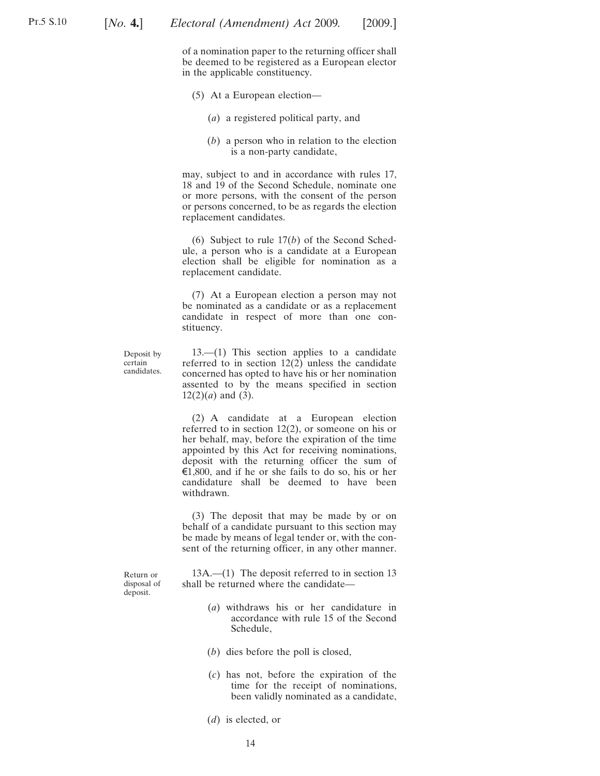of a nomination paper to the returning officer shall be deemed to be registered as a European elector in the applicable constituency.

- (5) At a European election—
	- (*a*) a registered political party, and
	- (*b*) a person who in relation to the election is a non-party candidate,

may, subject to and in accordance with rules 17, 18 and 19 of the Second Schedule, nominate one or more persons, with the consent of the person or persons concerned, to be as regards the election replacement candidates.

(6) Subject to rule 17(*b*) of the Second Schedule, a person who is a candidate at a European election shall be eligible for nomination as a replacement candidate.

(7) At a European election a person may not be nominated as a candidate or as a replacement candidate in respect of more than one constituency.

Deposit by certain candidates.

13.—(1) This section applies to a candidate referred to in section  $12(2)$  unless the candidate concerned has opted to have his or her nomination assented to by the means specified in section  $12(2)(a)$  and (3).

(2) A candidate at a European election referred to in section 12(2), or someone on his or her behalf, may, before the expiration of the time appointed by this Act for receiving nominations, deposit with the returning officer the sum of  $\epsilon$ 1,800, and if he or she fails to do so, his or her candidature shall be deemed to have been withdrawn.

(3) The deposit that may be made by or on behalf of a candidate pursuant to this section may be made by means of legal tender or, with the consent of the returning officer, in any other manner.

Return or disposal of deposit.

13A.—(1) The deposit referred to in section 13 shall be returned where the candidate—

- (*a*) withdraws his or her candidature in accordance with rule 15 of the Second Schedule,
- (*b*) dies before the poll is closed,
- (*c*) has not, before the expiration of the time for the receipt of nominations, been validly nominated as a candidate,
- (*d*) is elected, or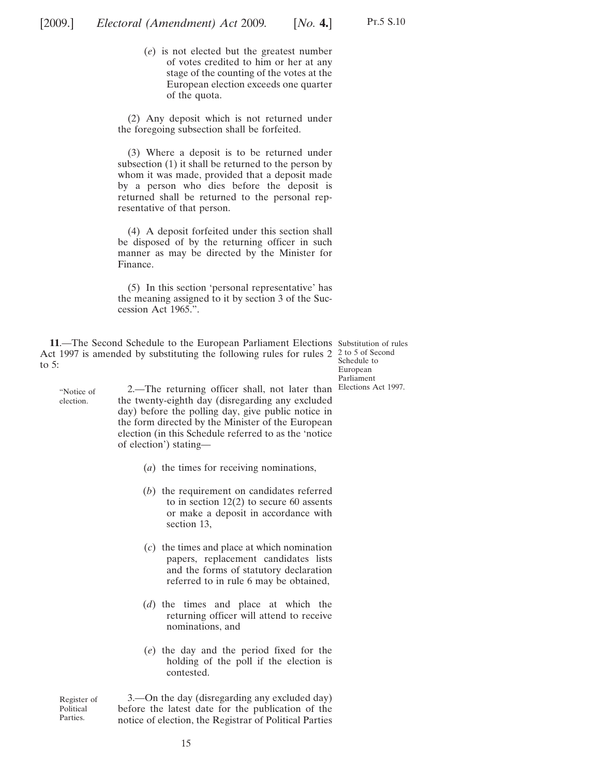<span id="page-14-0"></span>(*e*) is not elected but the greatest number of votes credited to him or her at any stage of the counting of the votes at the European election exceeds one quarter of the quota.

(2) Any deposit which is not returned under the foregoing subsection shall be forfeited.

(3) Where a deposit is to be returned under subsection (1) it shall be returned to the person by whom it was made, provided that a deposit made by a person who dies before the deposit is returned shall be returned to the personal representative of that person.

(4) A deposit forfeited under this section shall be disposed of by the returning officer in such manner as may be directed by the Minister for Finance.

(5) In this section 'personal representative' has the meaning assigned to it by section 3 of the Succession Act 1965.".

**11**.—The Second Schedule to the European Parliament Elections Substitution of rules Act 1997 is amended by substituting the following rules for rules  $2\frac{2}{3}$  to 5 of Second to 5:

Schedule to European Parliament

"Notice of election.

2.—The returning officer shall, not later than Elections Act 1997.the twenty-eighth day (disregarding any excluded day) before the polling day, give public notice in the form directed by the Minister of the European election (in this Schedule referred to as the 'notice of election') stating—

- (*a*) the times for receiving nominations,
- (*b*) the requirement on candidates referred to in section  $12(2)$  to secure 60 assents or make a deposit in accordance with section 13,
- (*c*) the times and place at which nomination papers, replacement candidates lists and the forms of statutory declaration referred to in rule 6 may be obtained,
- (*d*) the times and place at which the returning officer will attend to receive nominations, and
- (*e*) the day and the period fixed for the holding of the poll if the election is contested.

Register of Political Parties. 3.—On the day (disregarding any excluded day) before the latest date for the publication of the notice of election, the Registrar of Political Parties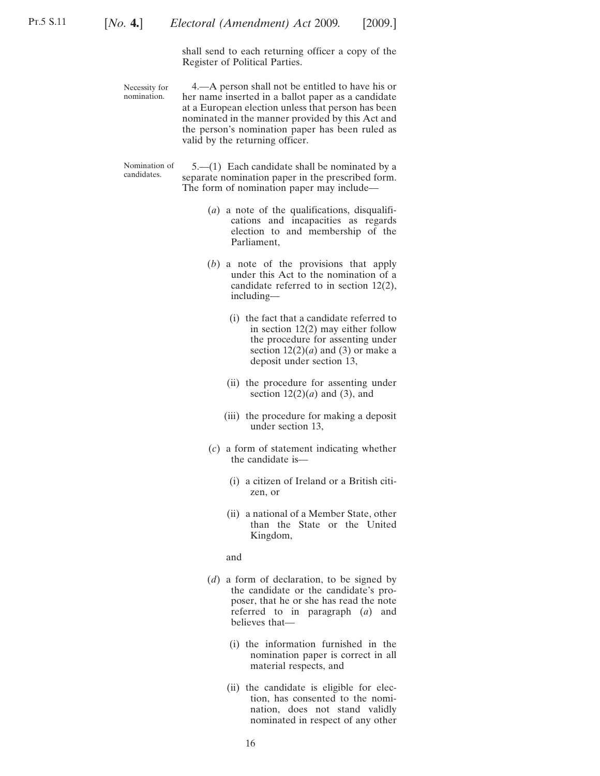shall send to each returning officer a copy of the Register of Political Parties.

Necessity for nomination.

4.—A person shall not be entitled to have his or her name inserted in a ballot paper as a candidate at a European election unless that person has been nominated in the manner provided by this Act and the person's nomination paper has been ruled as valid by the returning officer.

Nomination of Nomination of  $5-(1)$  Each candidate shall be nominated by a candidates. separate nomination paper in the prescribed form. The form of nomination paper may include—

- (*a*) a note of the qualifications, disqualifications and incapacities as regards election to and membership of the Parliament,
- (*b*) a note of the provisions that apply under this Act to the nomination of a candidate referred to in section 12(2), including—
	- (i) the fact that a candidate referred to in section 12(2) may either follow the procedure for assenting under section  $12(2)(a)$  and (3) or make a deposit under section 13,
	- (ii) the procedure for assenting under section  $12(2)(a)$  and (3), and
	- (iii) the procedure for making a deposit under section 13,
- (*c*) a form of statement indicating whether the candidate is—
	- (i) a citizen of Ireland or a British citizen, or
	- (ii) a national of a Member State, other than the State or the United Kingdom,

and

- (*d*) a form of declaration, to be signed by the candidate or the candidate's proposer, that he or she has read the note referred to in paragraph (*a*) and believes that—
	- (i) the information furnished in the nomination paper is correct in all material respects, and
	- (ii) the candidate is eligible for election, has consented to the nomination, does not stand validly nominated in respect of any other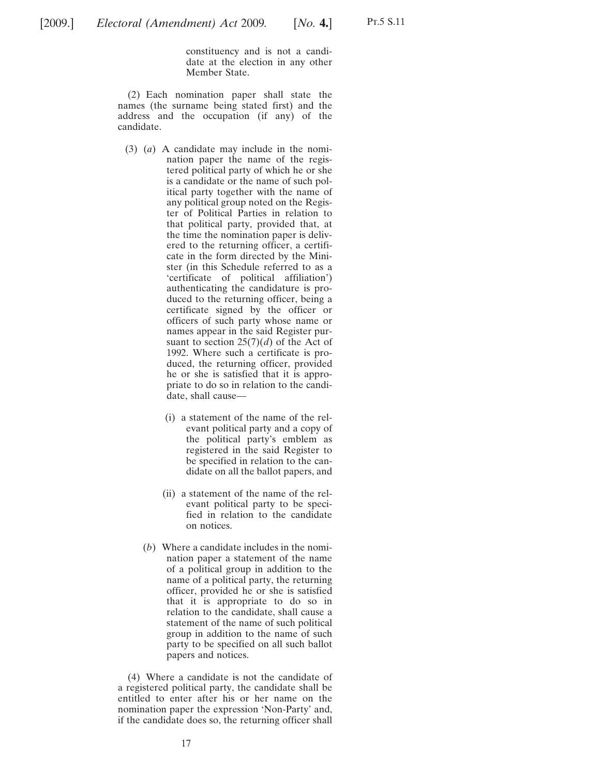constituency and is not a candidate at the election in any other Member State.

(2) Each nomination paper shall state the names (the surname being stated first) and the address and the occupation (if any) of the candidate.

- (3) (*a*) A candidate may include in the nomination paper the name of the registered political party of which he or she is a candidate or the name of such political party together with the name of any political group noted on the Register of Political Parties in relation to that political party, provided that, at the time the nomination paper is delivered to the returning officer, a certificate in the form directed by the Minister (in this Schedule referred to as a 'certificate of political affiliation') authenticating the candidature is produced to the returning officer, being a certificate signed by the officer or officers of such party whose name or names appear in the said Register pursuant to section  $25(7)(d)$  of the Act of 1992. Where such a certificate is produced, the returning officer, provided he or she is satisfied that it is appropriate to do so in relation to the candidate, shall cause—
	- (i) a statement of the name of the relevant political party and a copy of the political party's emblem as registered in the said Register to be specified in relation to the candidate on all the ballot papers, and
	- (ii) a statement of the name of the relevant political party to be specified in relation to the candidate on notices.
	- (*b*) Where a candidate includes in the nomination paper a statement of the name of a political group in addition to the name of a political party, the returning officer, provided he or she is satisfied that it is appropriate to do so in relation to the candidate, shall cause a statement of the name of such political group in addition to the name of such party to be specified on all such ballot papers and notices.

(4) Where a candidate is not the candidate of a registered political party, the candidate shall be entitled to enter after his or her name on the nomination paper the expression 'Non-Party' and, if the candidate does so, the returning officer shall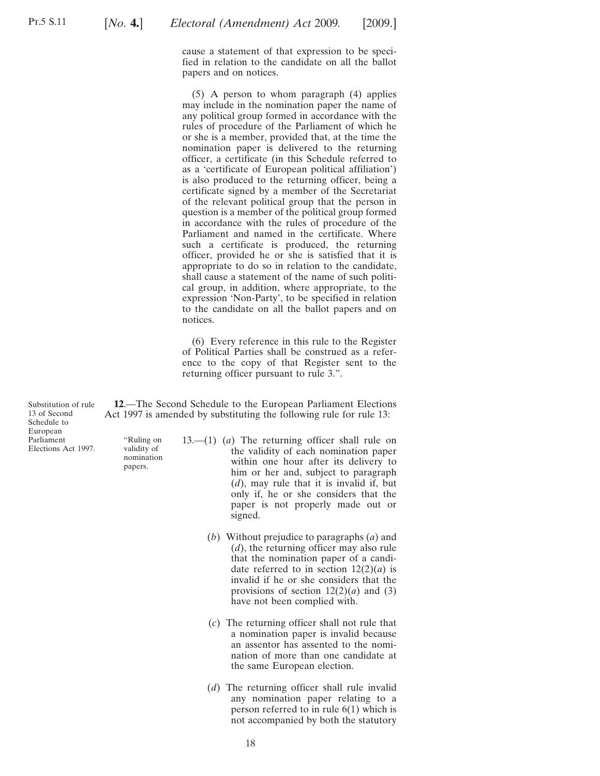<span id="page-17-0"></span>cause a statement of that expression to be specified in relation to the candidate on all the ballot papers and on notices.

(5) A person to whom paragraph (4) applies may include in the nomination paper the name of any political group formed in accordance with the rules of procedure of the Parliament of which he or she is a member, provided that, at the time the nomination paper is delivered to the returning officer, a certificate (in this Schedule referred to as a 'certificate of European political affiliation') is also produced to the returning officer, being a certificate signed by a member of the Secretariat of the relevant political group that the person in question is a member of the political group formed in accordance with the rules of procedure of the Parliament and named in the certificate. Where such a certificate is produced, the returning officer, provided he or she is satisfied that it is appropriate to do so in relation to the candidate, shall cause a statement of the name of such political group, in addition, where appropriate, to the expression 'Non-Party', to be specified in relation to the candidate on all the ballot papers and on notices.

(6) Every reference in this rule to the Register of Political Parties shall be construed as a reference to the copy of that Register sent to the returning officer pursuant to rule 3.".

**12**.—The Second Schedule to the European Parliament Elections Act 1997 is amended by substituting the following rule for rule 13:

> 13.—(1) (*a*) The returning officer shall rule on the validity of each nomination paper within one hour after its delivery to him or her and, subject to paragraph (*d*), may rule that it is invalid if, but only if, he or she considers that the paper is not properly made out or signed.

- (*b*) Without prejudice to paragraphs (*a*) and (*d*), the returning officer may also rule that the nomination paper of a candidate referred to in section  $12(2)(a)$  is invalid if he or she considers that the provisions of section  $12(2)(a)$  and (3) have not been complied with.
- (*c*) The returning officer shall not rule that a nomination paper is invalid because an assentor has assented to the nomination of more than one candidate at the same European election.
- (*d*) The returning officer shall rule invalid any nomination paper relating to a person referred to in rule 6(1) which is not accompanied by both the statutory

Substitution of rule 13 of Second Schedule to European Parliament Elections Act 1997.

"Ruling on validity of nomination papers.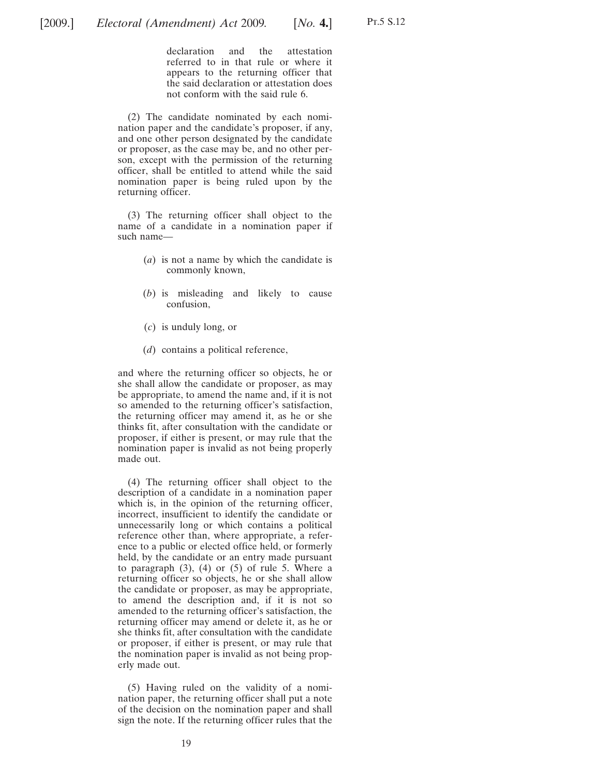declaration and the attestation referred to in that rule or where it appears to the returning officer that the said declaration or attestation does not conform with the said rule 6.

(2) The candidate nominated by each nomination paper and the candidate's proposer, if any, and one other person designated by the candidate or proposer, as the case may be, and no other person, except with the permission of the returning officer, shall be entitled to attend while the said nomination paper is being ruled upon by the returning officer.

(3) The returning officer shall object to the name of a candidate in a nomination paper if such name—

- (*a*) is not a name by which the candidate is commonly known,
- (*b*) is misleading and likely to cause confusion,
- (*c*) is unduly long, or
- (*d*) contains a political reference,

and where the returning officer so objects, he or she shall allow the candidate or proposer, as may be appropriate, to amend the name and, if it is not so amended to the returning officer's satisfaction, the returning officer may amend it, as he or she thinks fit, after consultation with the candidate or proposer, if either is present, or may rule that the nomination paper is invalid as not being properly made out.

(4) The returning officer shall object to the description of a candidate in a nomination paper which is, in the opinion of the returning officer, incorrect, insufficient to identify the candidate or unnecessarily long or which contains a political reference other than, where appropriate, a reference to a public or elected office held, or formerly held, by the candidate or an entry made pursuant to paragraph  $(3)$ ,  $(4)$  or  $(5)$  of rule 5. Where a returning officer so objects, he or she shall allow the candidate or proposer, as may be appropriate, to amend the description and, if it is not so amended to the returning officer's satisfaction, the returning officer may amend or delete it, as he or she thinks fit, after consultation with the candidate or proposer, if either is present, or may rule that the nomination paper is invalid as not being properly made out.

(5) Having ruled on the validity of a nomination paper, the returning officer shall put a note of the decision on the nomination paper and shall sign the note. If the returning officer rules that the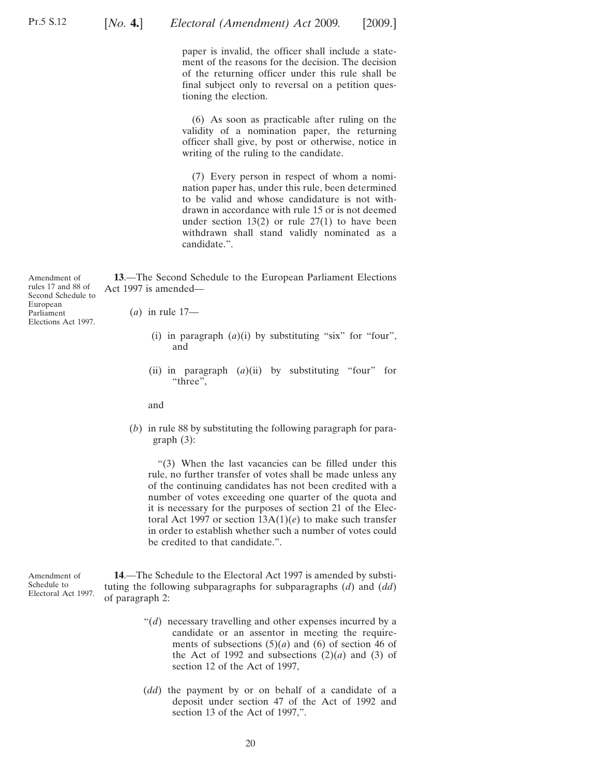<span id="page-19-0"></span>

paper is invalid, the officer shall include a statement of the reasons for the decision. The decision of the returning officer under this rule shall be final subject only to reversal on a petition questioning the election.

(6) As soon as practicable after ruling on the validity of a nomination paper, the returning officer shall give, by post or otherwise, notice in writing of the ruling to the candidate.

(7) Every person in respect of whom a nomination paper has, under this rule, been determined to be valid and whose candidature is not withdrawn in accordance with rule 15 or is not deemed under section  $13(2)$  or rule  $27(1)$  to have been withdrawn shall stand validly nominated as a candidate.".

**13**.—The Second Schedule to the European Parliament Elections Act 1997 is amended—

Amendment of rules 17 and 88 of Second Schedule to European Parliament Elections Act 1997.

(*a*) in rule 17—

- (i) in paragraph  $(a)(i)$  by substituting "six" for "four", and
- (ii) in paragraph  $(a)(ii)$  by substituting "four" for "three".

and

(*b*) in rule 88 by substituting the following paragraph for paragraph (3):

"(3) When the last vacancies can be filled under this rule, no further transfer of votes shall be made unless any of the continuing candidates has not been credited with a number of votes exceeding one quarter of the quota and it is necessary for the purposes of section 21 of the Electoral Act 1997 or section 13A(1)(*e*) to make such transfer in order to establish whether such a number of votes could be credited to that candidate.".

Amendment of Schedule to Electoral Act 1997. **14**.—The Schedule to the Electoral Act 1997 is amended by substituting the following subparagraphs for subparagraphs (*d*) and (*dd*) of paragraph 2:

- "(*d*) necessary travelling and other expenses incurred by a candidate or an assentor in meeting the requirements of subsections  $(5)(a)$  and  $(6)$  of section 46 of the Act of 1992 and subsections  $(2)(a)$  and  $(3)$  of section 12 of the Act of 1997,
- (*dd*) the payment by or on behalf of a candidate of a deposit under section 47 of the Act of 1992 and section 13 of the Act of 1997,".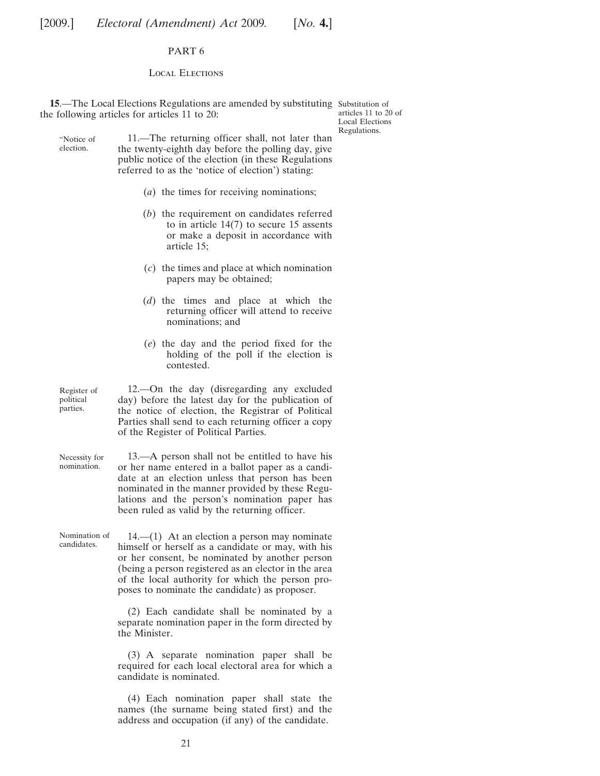#### PART 6

#### Local Elections

<span id="page-20-0"></span>**15.**—The Local Elections Regulations are amended by substituting Substitution of the following articles for articles 11 to 20:

articles 11 to 20 of Local Elections Regulations.

"Notice of 11.—The returning officer shall, not later than the twenty-eighth day before the polling day, give public notice of the election (in these Regulations referred to as the 'notice of election') stating:

- (*a*) the times for receiving nominations;
- (*b*) the requirement on candidates referred to in article 14(7) to secure 15 assents or make a deposit in accordance with article 15;
- (*c*) the times and place at which nomination papers may be obtained;
- (*d*) the times and place at which the returning officer will attend to receive nominations; and
- (*e*) the day and the period fixed for the holding of the poll if the election is contested.

Register of political parties. 12.—On the day (disregarding any excluded day) before the latest day for the publication of the notice of election, the Registrar of Political Parties shall send to each returning officer a copy of the Register of Political Parties.

Necessity for nomination. 13.—A person shall not be entitled to have his or her name entered in a ballot paper as a candidate at an election unless that person has been nominated in the manner provided by these Regulations and the person's nomination paper has been ruled as valid by the returning officer.

Nomination of

election.

 $14.$ — $(1)$  At an election a person may nominate himself or herself as a candidate or may, with his or her consent, be nominated by another person (being a person registered as an elector in the area of the local authority for which the person proposes to nominate the candidate) as proposer.

(2) Each candidate shall be nominated by a separate nomination paper in the form directed by the Minister.

(3) A separate nomination paper shall be required for each local electoral area for which a candidate is nominated.

(4) Each nomination paper shall state the names (the surname being stated first) and the address and occupation (if any) of the candidate.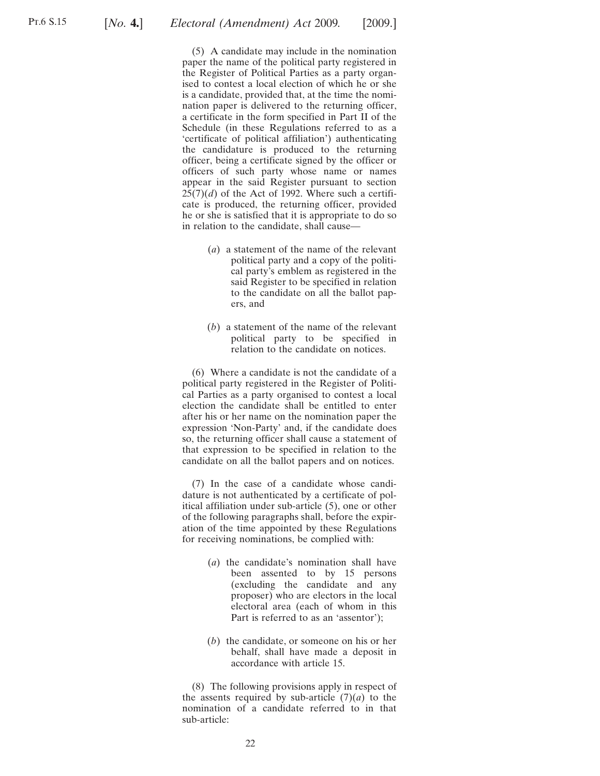(5) A candidate may include in the nomination paper the name of the political party registered in the Register of Political Parties as a party organised to contest a local election of which he or she is a candidate, provided that, at the time the nomination paper is delivered to the returning officer, a certificate in the form specified in Part II of the Schedule (in these Regulations referred to as a 'certificate of political affiliation') authenticating the candidature is produced to the returning officer, being a certificate signed by the officer or officers of such party whose name or names appear in the said Register pursuant to section  $25(7)(d)$  of the Act of 1992. Where such a certificate is produced, the returning officer, provided he or she is satisfied that it is appropriate to do so in relation to the candidate, shall cause—

- (*a*) a statement of the name of the relevant political party and a copy of the political party's emblem as registered in the said Register to be specified in relation to the candidate on all the ballot papers, and
- (*b*) a statement of the name of the relevant political party to be specified in relation to the candidate on notices.

(6) Where a candidate is not the candidate of a political party registered in the Register of Political Parties as a party organised to contest a local election the candidate shall be entitled to enter after his or her name on the nomination paper the expression 'Non-Party' and, if the candidate does so, the returning officer shall cause a statement of that expression to be specified in relation to the candidate on all the ballot papers and on notices.

(7) In the case of a candidate whose candidature is not authenticated by a certificate of political affiliation under sub-article (5), one or other of the following paragraphs shall, before the expiration of the time appointed by these Regulations for receiving nominations, be complied with:

- (*a*) the candidate's nomination shall have been assented to by 15 persons (excluding the candidate and any proposer) who are electors in the local electoral area (each of whom in this Part is referred to as an 'assentor');
- (*b*) the candidate, or someone on his or her behalf, shall have made a deposit in accordance with article 15.

(8) The following provisions apply in respect of the assents required by sub-article  $(7)(a)$  to the nomination of a candidate referred to in that sub-article: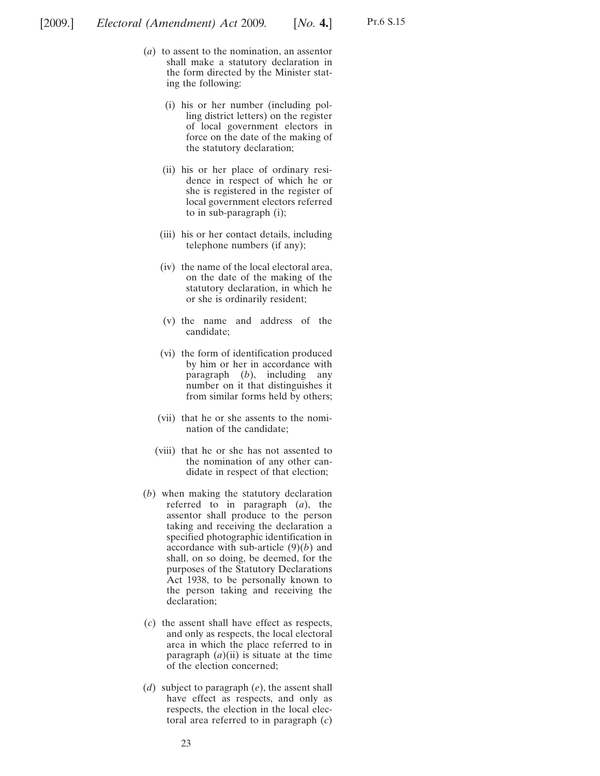- (*a*) to assent to the nomination, an assentor shall make a statutory declaration in the form directed by the Minister stating the following:
	- (i) his or her number (including polling district letters) on the register of local government electors in force on the date of the making of the statutory declaration;
	- (ii) his or her place of ordinary residence in respect of which he or she is registered in the register of local government electors referred to in sub-paragraph (i);
	- (iii) his or her contact details, including telephone numbers (if any);
	- (iv) the name of the local electoral area, on the date of the making of the statutory declaration, in which he or she is ordinarily resident;
	- (v) the name and address of the candidate;
	- (vi) the form of identification produced by him or her in accordance with paragraph (*b*), including any number on it that distinguishes it from similar forms held by others;
	- (vii) that he or she assents to the nomination of the candidate;
	- (viii) that he or she has not assented to the nomination of any other candidate in respect of that election;
	- (*b*) when making the statutory declaration referred to in paragraph (*a*), the assentor shall produce to the person taking and receiving the declaration a specified photographic identification in accordance with sub-article (9)(*b*) and shall, on so doing, be deemed, for the purposes of the Statutory Declarations Act 1938, to be personally known to the person taking and receiving the declaration;
	- (*c*) the assent shall have effect as respects, and only as respects, the local electoral area in which the place referred to in paragraph  $(a)(ii)$  is situate at the time of the election concerned;
	- (*d*) subject to paragraph (*e*), the assent shall have effect as respects, and only as respects, the election in the local electoral area referred to in paragraph (*c*)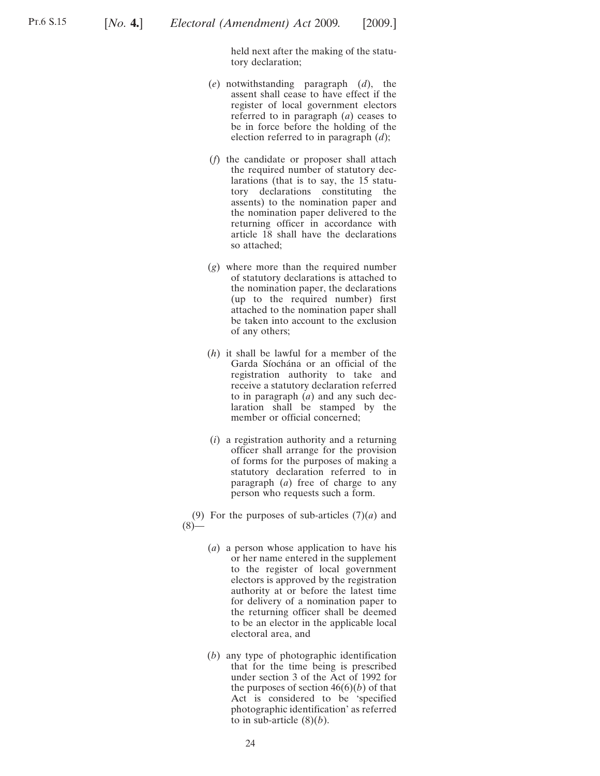held next after the making of the statutory declaration;

- (*e*) notwithstanding paragraph (*d*), the assent shall cease to have effect if the register of local government electors referred to in paragraph (*a*) ceases to be in force before the holding of the election referred to in paragraph (*d*);
- (*f*) the candidate or proposer shall attach the required number of statutory declarations (that is to say, the 15 statutory declarations constituting the assents) to the nomination paper and the nomination paper delivered to the returning officer in accordance with article 18 shall have the declarations so attached;
- (*g*) where more than the required number of statutory declarations is attached to the nomination paper, the declarations (up to the required number) first attached to the nomination paper shall be taken into account to the exclusion of any others;
- (*h*) it shall be lawful for a member of the Garda Síochána or an official of the registration authority to take and receive a statutory declaration referred to in paragraph (*a*) and any such declaration shall be stamped by the member or official concerned;
- (*i*) a registration authority and a returning officer shall arrange for the provision of forms for the purposes of making a statutory declaration referred to in paragraph (*a*) free of charge to any person who requests such a form.

(9) For the purposes of sub-articles (7)(*a*) and  $(8)$ 

- (*a*) a person whose application to have his or her name entered in the supplement to the register of local government electors is approved by the registration authority at or before the latest time for delivery of a nomination paper to the returning officer shall be deemed to be an elector in the applicable local electoral area, and
- (*b*) any type of photographic identification that for the time being is prescribed under section 3 of the Act of 1992 for the purposes of section  $46(6)(b)$  of that Act is considered to be 'specified photographic identification' as referred to in sub-article  $(8)(b)$ .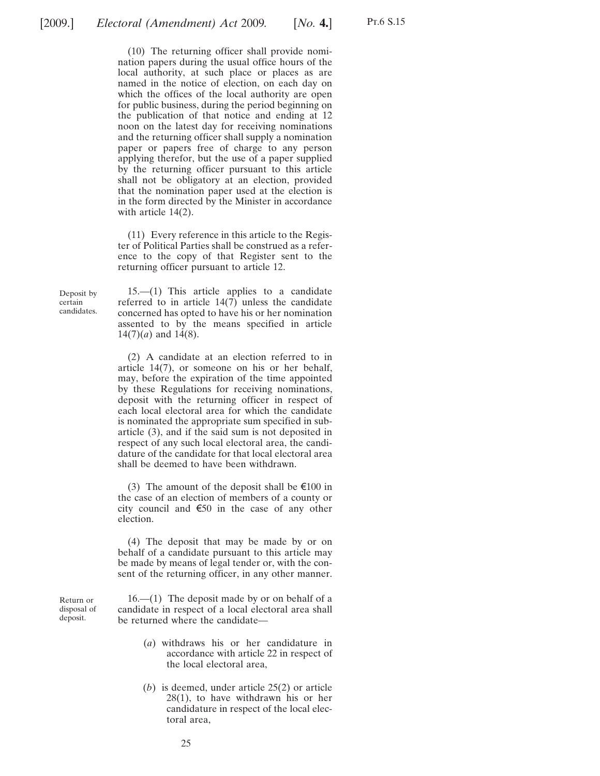(10) The returning officer shall provide nomination papers during the usual office hours of the local authority, at such place or places as are named in the notice of election, on each day on which the offices of the local authority are open for public business, during the period beginning on the publication of that notice and ending at 12 noon on the latest day for receiving nominations and the returning officer shall supply a nomination paper or papers free of charge to any person applying therefor, but the use of a paper supplied by the returning officer pursuant to this article shall not be obligatory at an election, provided that the nomination paper used at the election is in the form directed by the Minister in accordance with article 14(2).

(11) Every reference in this article to the Register of Political Parties shall be construed as a reference to the copy of that Register sent to the returning officer pursuant to article 12.

Deposit by certain candidates.

15.—(1) This article applies to a candidate referred to in article 14(7) unless the candidate concerned has opted to have his or her nomination assented to by the means specified in article  $14(7)(a)$  and  $14(8)$ .

(2) A candidate at an election referred to in article 14(7), or someone on his or her behalf, may, before the expiration of the time appointed by these Regulations for receiving nominations, deposit with the returning officer in respect of each local electoral area for which the candidate is nominated the appropriate sum specified in subarticle (3), and if the said sum is not deposited in respect of any such local electoral area, the candidature of the candidate for that local electoral area shall be deemed to have been withdrawn.

(3) The amount of the deposit shall be  $\epsilon$ 100 in the case of an election of members of a county or city council and  $\epsilon$ 50 in the case of any other election.

(4) The deposit that may be made by or on behalf of a candidate pursuant to this article may be made by means of legal tender or, with the consent of the returning officer, in any other manner.

Return or disposal of deposit.

16.—(1) The deposit made by or on behalf of a candidate in respect of a local electoral area shall be returned where the candidate—

- (*a*) withdraws his or her candidature in accordance with article 22 in respect of the local electoral area,
- (*b*) is deemed, under article 25(2) or article 28(1), to have withdrawn his or her candidature in respect of the local electoral area,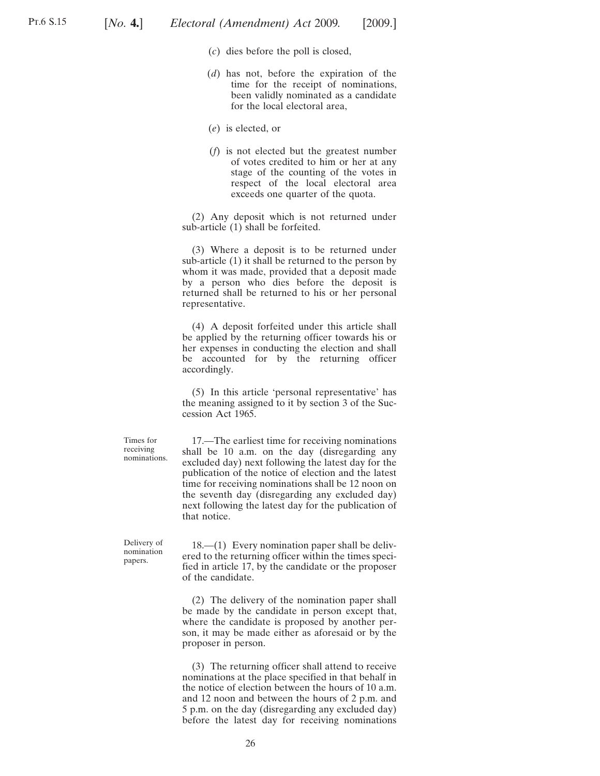- (*c*) dies before the poll is closed,
- (*d*) has not, before the expiration of the time for the receipt of nominations, been validly nominated as a candidate for the local electoral area,
- (*e*) is elected, or
- (*f*) is not elected but the greatest number of votes credited to him or her at any stage of the counting of the votes in respect of the local electoral area exceeds one quarter of the quota.

(2) Any deposit which is not returned under sub-article (1) shall be forfeited.

(3) Where a deposit is to be returned under sub-article (1) it shall be returned to the person by whom it was made, provided that a deposit made by a person who dies before the deposit is returned shall be returned to his or her personal representative.

(4) A deposit forfeited under this article shall be applied by the returning officer towards his or her expenses in conducting the election and shall be accounted for by the returning officer accordingly.

(5) In this article 'personal representative' has the meaning assigned to it by section 3 of the Succession Act 1965.

17.—The earliest time for receiving nominations shall be 10 a.m. on the day (disregarding any excluded day) next following the latest day for the publication of the notice of election and the latest time for receiving nominations shall be 12 noon on the seventh day (disregarding any excluded day) next following the latest day for the publication of that notice.

Delivery of nomination papers.

Times for receiving nominations.

> 18.—(1) Every nomination paper shall be delivered to the returning officer within the times specified in article 17, by the candidate or the proposer of the candidate.

> (2) The delivery of the nomination paper shall be made by the candidate in person except that, where the candidate is proposed by another person, it may be made either as aforesaid or by the proposer in person.

> (3) The returning officer shall attend to receive nominations at the place specified in that behalf in the notice of election between the hours of 10 a.m. and 12 noon and between the hours of 2 p.m. and 5 p.m. on the day (disregarding any excluded day) before the latest day for receiving nominations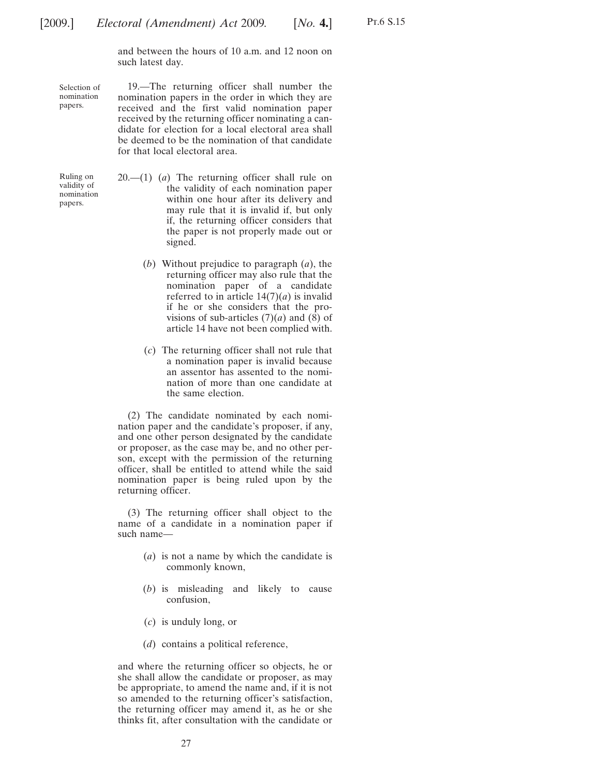and between the hours of 10 a.m. and 12 noon on such latest day.

Selection of nomination papers.

19.—The returning officer shall number the nomination papers in the order in which they are received and the first valid nomination paper received by the returning officer nominating a candidate for election for a local electoral area shall be deemed to be the nomination of that candidate for that local electoral area.

- Ruling on validity of nomination papers.
- 20.—(1) (*a*) The returning officer shall rule on the validity of each nomination paper within one hour after its delivery and may rule that it is invalid if, but only if, the returning officer considers that the paper is not properly made out or signed.
	- (*b*) Without prejudice to paragraph (*a*), the returning officer may also rule that the nomination paper of a candidate referred to in article  $14(7)(a)$  is invalid if he or she considers that the provisions of sub-articles  $(7)(a)$  and  $(8)$  of article 14 have not been complied with.
	- (*c*) The returning officer shall not rule that a nomination paper is invalid because an assentor has assented to the nomination of more than one candidate at the same election.

(2) The candidate nominated by each nomination paper and the candidate's proposer, if any, and one other person designated by the candidate or proposer, as the case may be, and no other person, except with the permission of the returning officer, shall be entitled to attend while the said nomination paper is being ruled upon by the returning officer.

(3) The returning officer shall object to the name of a candidate in a nomination paper if such name—

- (*a*) is not a name by which the candidate is commonly known,
- (*b*) is misleading and likely to cause confusion,
- (*c*) is unduly long, or
- (*d*) contains a political reference,

and where the returning officer so objects, he or she shall allow the candidate or proposer, as may be appropriate, to amend the name and, if it is not so amended to the returning officer's satisfaction, the returning officer may amend it, as he or she thinks fit, after consultation with the candidate or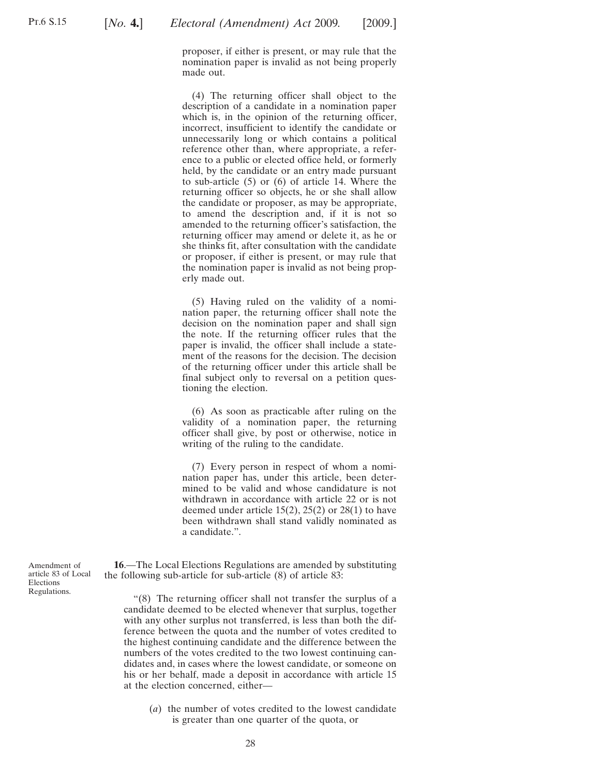<span id="page-27-0"></span>proposer, if either is present, or may rule that the nomination paper is invalid as not being properly made out.

(4) The returning officer shall object to the description of a candidate in a nomination paper which is, in the opinion of the returning officer, incorrect, insufficient to identify the candidate or unnecessarily long or which contains a political reference other than, where appropriate, a reference to a public or elected office held, or formerly held, by the candidate or an entry made pursuant to sub-article (5) or (6) of article 14. Where the returning officer so objects, he or she shall allow the candidate or proposer, as may be appropriate, to amend the description and, if it is not so amended to the returning officer's satisfaction, the returning officer may amend or delete it, as he or she thinks fit, after consultation with the candidate or proposer, if either is present, or may rule that the nomination paper is invalid as not being properly made out.

(5) Having ruled on the validity of a nomination paper, the returning officer shall note the decision on the nomination paper and shall sign the note. If the returning officer rules that the paper is invalid, the officer shall include a statement of the reasons for the decision. The decision of the returning officer under this article shall be final subject only to reversal on a petition questioning the election.

(6) As soon as practicable after ruling on the validity of a nomination paper, the returning officer shall give, by post or otherwise, notice in writing of the ruling to the candidate.

(7) Every person in respect of whom a nomination paper has, under this article, been determined to be valid and whose candidature is not withdrawn in accordance with article 22 or is not deemed under article  $15(2)$ ,  $25(2)$  or  $28(1)$  to have been withdrawn shall stand validly nominated as a candidate.".

**16**.—The Local Elections Regulations are amended by substituting the following sub-article for sub-article (8) of article 83:

"(8) The returning officer shall not transfer the surplus of a candidate deemed to be elected whenever that surplus, together with any other surplus not transferred, is less than both the difference between the quota and the number of votes credited to the highest continuing candidate and the difference between the numbers of the votes credited to the two lowest continuing candidates and, in cases where the lowest candidate, or someone on his or her behalf, made a deposit in accordance with article 15 at the election concerned, either—

(*a*) the number of votes credited to the lowest candidate is greater than one quarter of the quota, or

Amendment of article 83 of Local Elections Regulations.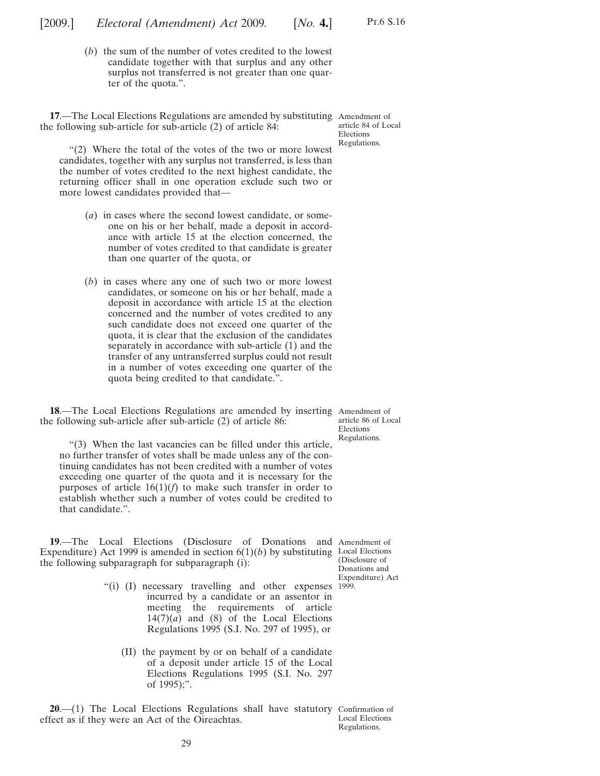<span id="page-28-0"></span>[2009.] [ *Electoral (Amendment) Act* 2009*. No.* **4.**]

Pt.6 S.16

(*b*) the sum of the number of votes credited to the lowest candidate together with that surplus and any other surplus not transferred is not greater than one quarter of the quota.".

**17**.—The Local Elections Regulations are amended by substituting Amendment of the following sub-article for sub-article (2) of article 84:

article 84 of Local Elections Regulations.

"(2) Where the total of the votes of the two or more lowest candidates, together with any surplus not transferred, is less than the number of votes credited to the next highest candidate, the returning officer shall in one operation exclude such two or more lowest candidates provided that—

- (*a*) in cases where the second lowest candidate, or someone on his or her behalf, made a deposit in accordance with article 15 at the election concerned, the number of votes credited to that candidate is greater than one quarter of the quota, or
- (*b*) in cases where any one of such two or more lowest candidates, or someone on his or her behalf, made a deposit in accordance with article 15 at the election concerned and the number of votes credited to any such candidate does not exceed one quarter of the quota, it is clear that the exclusion of the candidates separately in accordance with sub-article (1) and the transfer of any untransferred surplus could not result in a number of votes exceeding one quarter of the quota being credited to that candidate.".

**18**.—The Local Elections Regulations are amended by inserting Amendment of the following sub-article after sub-article (2) of article 86:

article 86 of Local Elections Regulations.

"(3) When the last vacancies can be filled under this article, no further transfer of votes shall be made unless any of the continuing candidates has not been credited with a number of votes exceeding one quarter of the quota and it is necessary for the purposes of article  $16(1)(f)$  to make such transfer in order to establish whether such a number of votes could be credited to that candidate.".

**19**.—The Local Elections (Disclosure of Donations and Amendment of Expenditure) Act 1999 is amended in section  $6(1)(b)$  by substituting Local Elections the following subparagraph for subparagraph (i):

(Disclosure of Donations and Expenditure) Act

- "(i) (I) necessary travelling and other expenses 1999. incurred by a candidate or an assentor in meeting the requirements of article  $14(7)(a)$  and (8) of the Local Elections Regulations 1995 (S.I. No. 297 of 1995), or
	- (II) the payment by or on behalf of a candidate of a deposit under article 15 of the Local Elections Regulations 1995 (S.I. No. 297 of 1995);".

**20**.—(1) The Local Elections Regulations shall have statutory Confirmation of effect as if they were an Act of the Oireachtas.

Local Elections Regulations.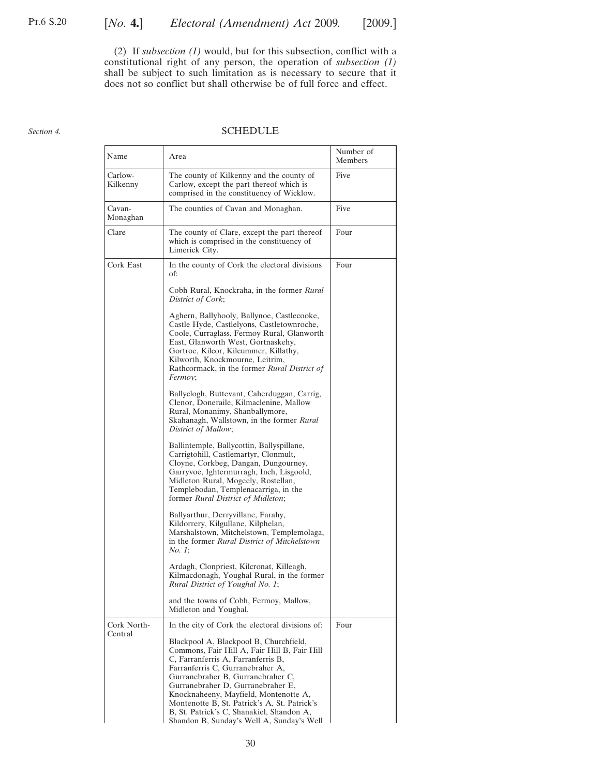<span id="page-29-0"></span>(2) If *subsection [\(1\)](#page-28-0)* would, but for this subsection, conflict with a constitutional right of any person, the operation of *subsection [\(1\)](#page-28-0)* shall be subject to such limitation as is necessary to secure that it does not so conflict but shall otherwise be of full force and effect.

#### *Section 4.*

#### SCHEDULE

| Name                | Area                                                                                                                                                                                                                                                                                                                                                                                                                          | Number of<br>Members |
|---------------------|-------------------------------------------------------------------------------------------------------------------------------------------------------------------------------------------------------------------------------------------------------------------------------------------------------------------------------------------------------------------------------------------------------------------------------|----------------------|
| Carlow-<br>Kilkenny | The county of Kilkenny and the county of<br>Carlow, except the part thereof which is<br>comprised in the constituency of Wicklow.                                                                                                                                                                                                                                                                                             | Five                 |
| Cavan-<br>Monaghan  | The counties of Cavan and Monaghan.                                                                                                                                                                                                                                                                                                                                                                                           | Five                 |
| Clare               | The county of Clare, except the part thereof<br>which is comprised in the constituency of<br>Limerick City.                                                                                                                                                                                                                                                                                                                   | Four                 |
| Cork East           | In the county of Cork the electoral divisions<br>of:                                                                                                                                                                                                                                                                                                                                                                          | Four                 |
|                     | Cobh Rural, Knockraha, in the former Rural<br>District of Cork;                                                                                                                                                                                                                                                                                                                                                               |                      |
|                     | Aghern, Ballyhooly, Ballynoe, Castlecooke,<br>Castle Hyde, Castlelyons, Castletownroche,<br>Coole, Curraglass, Fermoy Rural, Glanworth<br>East, Glanworth West, Gortnaskehy,<br>Gortroe, Kilcor, Kilcummer, Killathy,<br>Kilworth, Knockmourne, Leitrim,<br>Rathcormack, in the former Rural District of<br>Fermoy;                                                                                                           |                      |
|                     | Ballyclogh, Buttevant, Caherduggan, Carrig,<br>Clenor, Doneraile, Kilmaclenine, Mallow<br>Rural, Monanimy, Shanballymore,<br>Skahanagh, Wallstown, in the former Rural<br>District of Mallow;                                                                                                                                                                                                                                 |                      |
|                     | Ballintemple, Ballycottin, Ballyspillane,<br>Carrigtohill, Castlemartyr, Clonmult,<br>Cloyne, Corkbeg, Dangan, Dungourney,<br>Garryvoe, Ightermurragh, Inch, Lisgoold,<br>Midleton Rural, Mogeely, Rostellan,<br>Templebodan, Templenacarriga, in the<br>former Rural District of Midleton;                                                                                                                                   |                      |
|                     | Ballyarthur, Derryvillane, Farahy,<br>Kildorrery, Kilgullane, Kilphelan,<br>Marshalstown, Mitchelstown, Templemolaga,<br>in the former Rural District of Mitchelstown<br><i>No. 1</i> ;                                                                                                                                                                                                                                       |                      |
|                     | Ardagh, Clonpriest, Kilcronat, Killeagh,<br>Kilmacdonagh, Youghal Rural, in the former<br>Rural District of Youghal No. 1;                                                                                                                                                                                                                                                                                                    |                      |
|                     | and the towns of Cobh, Fermoy, Mallow,<br>Midleton and Youghal.                                                                                                                                                                                                                                                                                                                                                               |                      |
| Cork North-         | In the city of Cork the electoral divisions of:                                                                                                                                                                                                                                                                                                                                                                               | Four                 |
| Central             | Blackpool A, Blackpool B, Churchfield,<br>Commons, Fair Hill A, Fair Hill B, Fair Hill<br>C, Farranferris A, Farranferris B,<br>Farranferris C, Gurranebraher A,<br>Gurranebraher B, Gurranebraher C,<br>Gurranebraher D, Gurranebraher E,<br>Knocknaheeny, Mayfield, Montenotte A,<br>Montenotte B, St. Patrick's A, St. Patrick's<br>B, St. Patrick's C, Shanakiel, Shandon A,<br>Shandon B, Sunday's Well A, Sunday's Well |                      |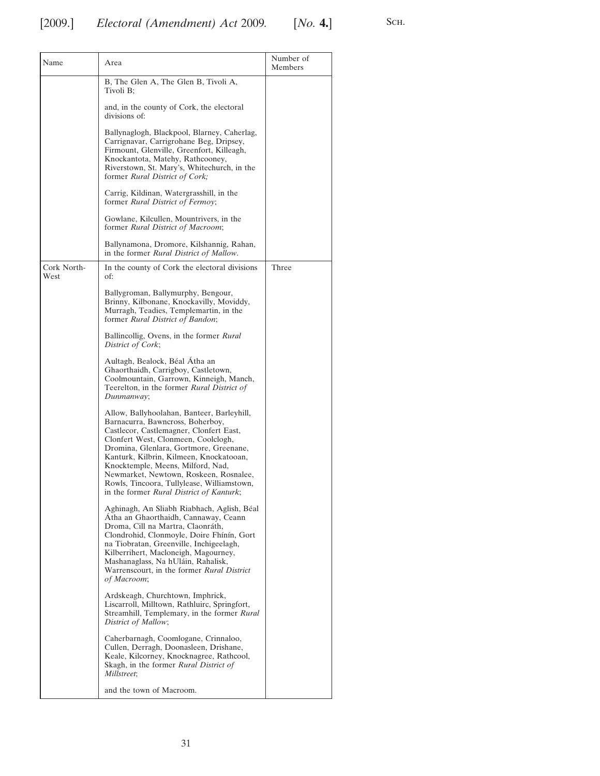| Name                | Area                                                                                                                                                                                                                                                                                                                                                                                                                                   | Number of<br>Members |
|---------------------|----------------------------------------------------------------------------------------------------------------------------------------------------------------------------------------------------------------------------------------------------------------------------------------------------------------------------------------------------------------------------------------------------------------------------------------|----------------------|
|                     | B, The Glen A, The Glen B, Tivoli A,<br>Tivoli B;                                                                                                                                                                                                                                                                                                                                                                                      |                      |
|                     | and, in the county of Cork, the electoral<br>divisions of:                                                                                                                                                                                                                                                                                                                                                                             |                      |
|                     | Ballynaglogh, Blackpool, Blarney, Caherlag,<br>Carrignavar, Carrigrohane Beg, Dripsey,<br>Firmount, Glenville, Greenfort, Killeagh,<br>Knockantota, Matehy, Rathcooney,<br>Riverstown, St. Mary's, Whitechurch, in the<br>former Rural District of Cork;                                                                                                                                                                               |                      |
|                     | Carrig, Kildinan, Watergrasshill, in the<br>former Rural District of Fermoy;                                                                                                                                                                                                                                                                                                                                                           |                      |
|                     | Gowlane, Kilcullen, Mountrivers, in the<br>former Rural District of Macroom;                                                                                                                                                                                                                                                                                                                                                           |                      |
|                     | Ballynamona, Dromore, Kilshannig, Rahan,<br>in the former Rural District of Mallow.                                                                                                                                                                                                                                                                                                                                                    |                      |
| Cork North-<br>West | In the county of Cork the electoral divisions<br>of:                                                                                                                                                                                                                                                                                                                                                                                   | Three                |
|                     | Ballygroman, Ballymurphy, Bengour,<br>Brinny, Kilbonane, Knockavilly, Moviddy,<br>Murragh, Teadies, Templemartin, in the<br>former Rural District of Bandon;                                                                                                                                                                                                                                                                           |                      |
|                     | Ballincollig, Ovens, in the former Rural<br>District of Cork;                                                                                                                                                                                                                                                                                                                                                                          |                      |
|                     | Aultagh, Bealock, Béal Atha an<br>Ghaorthaidh, Carrigboy, Castletown,<br>Coolmountain, Garrown, Kinneigh, Manch,<br>Teerelton, in the former Rural District of<br>Dunmanway;                                                                                                                                                                                                                                                           |                      |
|                     | Allow, Ballyhoolahan, Banteer, Barleyhill,<br>Barnacurra, Bawncross, Boherboy,<br>Castlecor, Castlemagner, Clonfert East,<br>Clonfert West, Clonmeen, Coolclogh,<br>Dromina, Glenlara, Gortmore, Greenane,<br>Kanturk, Kilbrin, Kilmeen, Knockatooan,<br>Knocktemple, Meens, Milford, Nad,<br>Newmarket, Newtown, Roskeen, Rosnalee,<br>Rowls, Tincoora, Tullylease, Williamstown,<br>in the former <i>Rural District of Kanturk</i> ; |                      |
|                     | Aghinagh, An Sliabh Riabhach, Aglish, Béal<br>Atha an Ghaorthaidh, Cannaway, Ceann<br>Droma, Cill na Martra, Claonráth,<br>Clondrohid, Clonmoyle, Doire Fhinin, Gort<br>na Tiobratan, Greenville, Inchigeelagh,<br>Kilberrihert, Macloneigh, Magourney,<br>Mashanaglass, Na hUláin, Rahalisk,<br>Warrenscourt, in the former Rural District<br>of Macroom;                                                                             |                      |
|                     | Ardskeagh, Churchtown, Imphrick,<br>Liscarroll, Milltown, Rathluirc, Springfort,<br>Streamhill, Templemary, in the former Rural<br>District of Mallow;                                                                                                                                                                                                                                                                                 |                      |
|                     | Caherbarnagh, Coomlogane, Crinnaloo,<br>Cullen, Derragh, Doonasleen, Drishane,<br>Keale, Kilcorney, Knocknagree, Rathcool,<br>Skagh, in the former <i>Rural District of</i><br>Millstreet;                                                                                                                                                                                                                                             |                      |
|                     | and the town of Macroom.                                                                                                                                                                                                                                                                                                                                                                                                               |                      |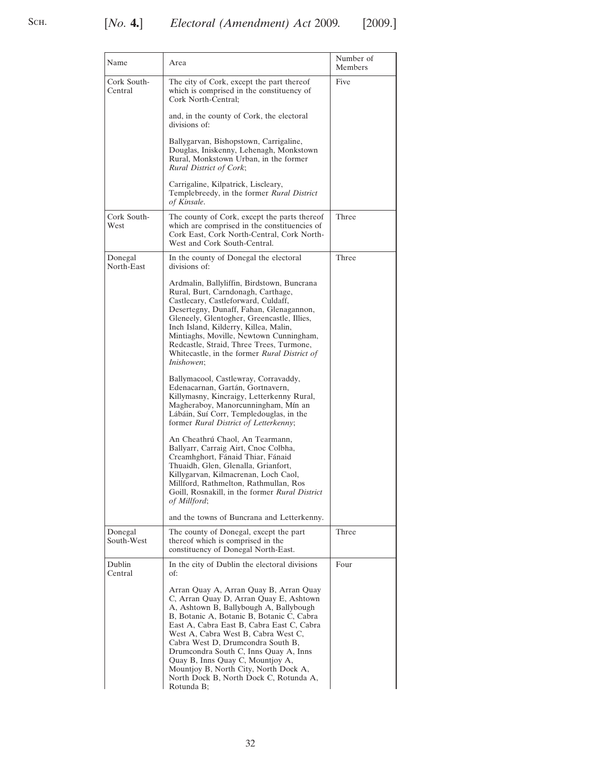| Name                   | Area                                                                                                                                                                                                                                                                                                                                                                                                                                                                           | Number of<br>Members |
|------------------------|--------------------------------------------------------------------------------------------------------------------------------------------------------------------------------------------------------------------------------------------------------------------------------------------------------------------------------------------------------------------------------------------------------------------------------------------------------------------------------|----------------------|
| Cork South-<br>Central | The city of Cork, except the part thereof<br>which is comprised in the constituency of<br>Cork North-Central;                                                                                                                                                                                                                                                                                                                                                                  | Five                 |
|                        | and, in the county of Cork, the electoral<br>divisions of:                                                                                                                                                                                                                                                                                                                                                                                                                     |                      |
|                        | Ballygarvan, Bishopstown, Carrigaline,<br>Douglas, Iniskenny, Lehenagh, Monkstown<br>Rural, Monkstown Urban, in the former<br>Rural District of Cork;                                                                                                                                                                                                                                                                                                                          |                      |
|                        | Carrigaline, Kilpatrick, Liscleary,<br>Templebreedy, in the former Rural District<br>of Kinsale.                                                                                                                                                                                                                                                                                                                                                                               |                      |
| Cork South-<br>West    | The county of Cork, except the parts thereof<br>which are comprised in the constituencies of<br>Cork East, Cork North-Central, Cork North-<br>West and Cork South-Central.                                                                                                                                                                                                                                                                                                     | Three                |
| Donegal<br>North-East  | In the county of Donegal the electoral<br>divisions of:                                                                                                                                                                                                                                                                                                                                                                                                                        | Three                |
|                        | Ardmalin, Ballyliffin, Birdstown, Buncrana<br>Rural, Burt, Carndonagh, Carthage,<br>Castlecary, Castleforward, Culdaff,<br>Desertegny, Dunaff, Fahan, Glenagannon,<br>Gleneely, Glentogher, Greencastle, Illies,<br>Inch Island, Kilderry, Killea, Malin,<br>Mintiaghs, Moville, Newtown Cunningham,<br>Redcastle, Straid, Three Trees, Turmone,<br>Whitecastle, in the former <i>Rural District of</i><br><i>Inishowen</i> ;                                                  |                      |
|                        | Ballymacool, Castlewray, Corravaddy,<br>Edenacarnan, Gartán, Gortnavern,<br>Killymasny, Kincraigy, Letterkenny Rural,<br>Magheraboy, Manorcunningham, Mín an<br>Lábáin, Suí Corr, Templedouglas, in the<br>former Rural District of Letterkenny;                                                                                                                                                                                                                               |                      |
|                        | An Cheathrú Chaol, An Tearmann,<br>Ballyarr, Carraig Airt, Cnoc Colbha,<br>Creamhghort, Fánaid Thiar, Fánaid<br>Thuaidh, Glen, Glenalla, Grianfort,<br>Killygarvan, Kilmacrenan, Loch Caol,<br>Millford, Rathmelton, Rathmullan, Ros<br>Goill, Rosnakill, in the former Rural District<br>of Millford;                                                                                                                                                                         |                      |
|                        | and the towns of Buncrana and Letterkenny.                                                                                                                                                                                                                                                                                                                                                                                                                                     |                      |
| Donegal<br>South-West  | The county of Donegal, except the part<br>thereof which is comprised in the<br>constituency of Donegal North-East.                                                                                                                                                                                                                                                                                                                                                             | Three                |
| Dublin<br>Central      | In the city of Dublin the electoral divisions<br>of:                                                                                                                                                                                                                                                                                                                                                                                                                           | Four                 |
|                        | Arran Quay A, Arran Quay B, Arran Quay<br>C, Arran Quay D, Arran Quay E, Ashtown<br>A, Ashtown B, Ballybough A, Ballybough<br>B, Botanic A, Botanic B, Botanic C, Cabra<br>East A, Cabra East B, Cabra East C, Cabra<br>West A, Cabra West B, Cabra West C,<br>Cabra West D, Drumcondra South B,<br>Drumcondra South C, Inns Quay A, Inns<br>Quay B, Inns Quay C, Mountjoy A,<br>Mountjoy B, North City, North Dock A,<br>North Dock B, North Dock C, Rotunda A,<br>Rotunda B; |                      |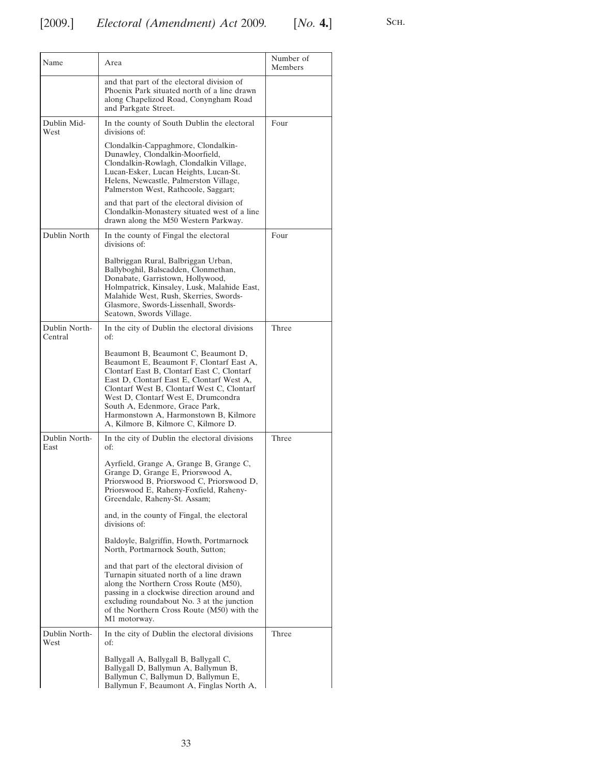| Name                     | Area                                                                                                                                                                                                                                                                                                                                                                              | Number of<br>Members |
|--------------------------|-----------------------------------------------------------------------------------------------------------------------------------------------------------------------------------------------------------------------------------------------------------------------------------------------------------------------------------------------------------------------------------|----------------------|
|                          | and that part of the electoral division of<br>Phoenix Park situated north of a line drawn<br>along Chapelizod Road, Conyngham Road<br>and Parkgate Street.                                                                                                                                                                                                                        |                      |
| Dublin Mid-<br>West      | In the county of South Dublin the electoral<br>divisions of:                                                                                                                                                                                                                                                                                                                      | Four                 |
|                          | Clondalkin-Cappaghmore, Clondalkin-<br>Dunawley, Clondalkin-Moorfield,<br>Clondalkin-Rowlagh, Clondalkin Village,<br>Lucan-Esker, Lucan Heights, Lucan-St.<br>Helens, Newcastle, Palmerston Village,<br>Palmerston West, Rathcoole, Saggart;                                                                                                                                      |                      |
|                          | and that part of the electoral division of<br>Clondalkin-Monastery situated west of a line<br>drawn along the M50 Western Parkway.                                                                                                                                                                                                                                                |                      |
| Dublin North             | In the county of Fingal the electoral<br>divisions of:                                                                                                                                                                                                                                                                                                                            | Four                 |
|                          | Balbriggan Rural, Balbriggan Urban,<br>Ballyboghil, Balscadden, Clonmethan,<br>Donabate, Garristown, Hollywood,<br>Holmpatrick, Kinsaley, Lusk, Malahide East,<br>Malahide West, Rush, Skerries, Swords-<br>Glasmore, Swords-Lissenhall, Swords-<br>Seatown, Swords Village.                                                                                                      |                      |
| Dublin North-<br>Central | In the city of Dublin the electoral divisions<br>of:                                                                                                                                                                                                                                                                                                                              | Three                |
|                          | Beaumont B, Beaumont C, Beaumont D,<br>Beaumont E, Beaumont F, Clontarf East A,<br>Clontarf East B, Clontarf East C, Clontarf<br>East D, Clontarf East E, Clontarf West A,<br>Clontarf West B, Clontarf West C, Clontarf<br>West D, Clontarf West E, Drumcondra<br>South A, Edenmore, Grace Park,<br>Harmonstown A, Harmonstown B, Kilmore<br>A, Kilmore B, Kilmore C, Kilmore D. |                      |
| Dublin North-<br>East    | In the city of Dublin the electoral divisions<br>of:                                                                                                                                                                                                                                                                                                                              | Three                |
|                          | Ayrfield, Grange A, Grange B, Grange C,<br>Grange D, Grange E, Priorswood A,<br>Priorswood B, Priorswood C, Priorswood D,<br>Priorswood E, Raheny-Foxfield, Raheny-<br>Greendale, Raheny-St. Assam;                                                                                                                                                                               |                      |
|                          | and, in the county of Fingal, the electoral<br>divisions of:                                                                                                                                                                                                                                                                                                                      |                      |
|                          | Baldoyle, Balgriffin, Howth, Portmarnock<br>North, Portmarnock South, Sutton;                                                                                                                                                                                                                                                                                                     |                      |
|                          | and that part of the electoral division of<br>Turnapin situated north of a line drawn<br>along the Northern Cross Route (M50),<br>passing in a clockwise direction around and<br>excluding roundabout No. 3 at the junction<br>of the Northern Cross Route (M50) with the<br>M1 motorway.                                                                                         |                      |
| Dublin North-<br>West    | In the city of Dublin the electoral divisions<br>of:                                                                                                                                                                                                                                                                                                                              | Three                |
|                          | Ballygall A, Ballygall B, Ballygall C,<br>Ballygall D, Ballymun A, Ballymun B,<br>Ballymun C, Ballymun D, Ballymun E,<br>Ballymun F, Beaumont A, Finglas North A,                                                                                                                                                                                                                 |                      |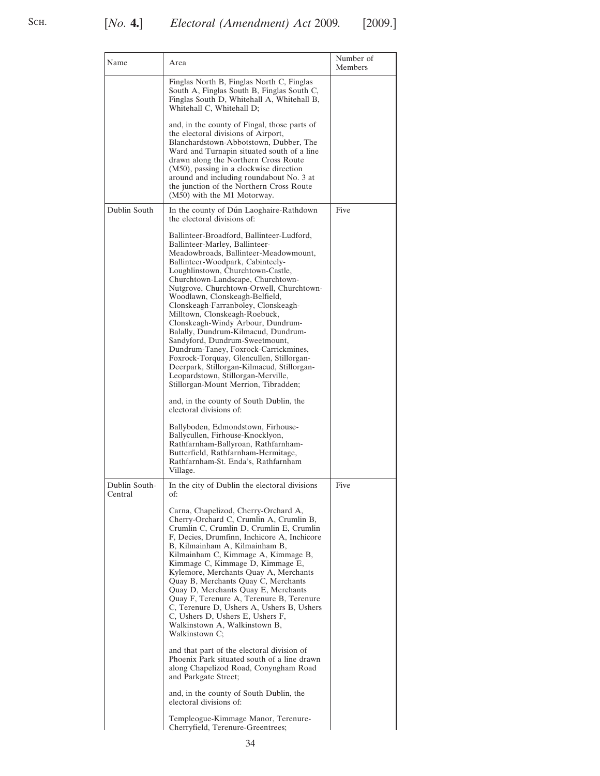# S<sub>CH</sub>.

| Name         | Area                                                                                                                                                                                                                                                                                                                                                                                                                                                                                                                                                                                                                                                                                                                   | Number of<br>Members |
|--------------|------------------------------------------------------------------------------------------------------------------------------------------------------------------------------------------------------------------------------------------------------------------------------------------------------------------------------------------------------------------------------------------------------------------------------------------------------------------------------------------------------------------------------------------------------------------------------------------------------------------------------------------------------------------------------------------------------------------------|----------------------|
|              | Finglas North B, Finglas North C, Finglas<br>South A, Finglas South B, Finglas South C,<br>Finglas South D, Whitehall A, Whitehall B,<br>Whitehall C, Whitehall D;                                                                                                                                                                                                                                                                                                                                                                                                                                                                                                                                                     |                      |
|              | and, in the county of Fingal, those parts of<br>the electoral divisions of Airport,<br>Blanchardstown-Abbotstown, Dubber, The<br>Ward and Turnapin situated south of a line<br>drawn along the Northern Cross Route<br>(M50), passing in a clockwise direction<br>around and including roundabout No. 3 at<br>the junction of the Northern Cross Route<br>(M50) with the M1 Motorway.                                                                                                                                                                                                                                                                                                                                  |                      |
| Dublin South | In the county of Dún Laoghaire-Rathdown<br>the electoral divisions of:                                                                                                                                                                                                                                                                                                                                                                                                                                                                                                                                                                                                                                                 | Five                 |
|              | Ballinteer-Broadford, Ballinteer-Ludford,<br>Ballinteer-Marley, Ballinteer-<br>Meadowbroads, Ballinteer-Meadowmount,<br>Ballinteer-Woodpark, Cabinteely-<br>Loughlinstown, Churchtown-Castle,<br>Churchtown-Landscape, Churchtown-<br>Nutgrove, Churchtown-Orwell, Churchtown-<br>Woodlawn, Clonskeagh-Belfield,<br>Clonskeagh-Farranboley, Clonskeagh-<br>Milltown, Clonskeagh-Roebuck,<br>Clonskeagh-Windy Arbour, Dundrum-<br>Balally, Dundrum-Kilmacud, Dundrum-<br>Sandyford, Dundrum-Sweetmount,<br>Dundrum-Taney, Foxrock-Carrickmines,<br>Foxrock-Torquay, Glencullen, Stillorgan-<br>Deerpark, Stillorgan-Kilmacud, Stillorgan-<br>Leopardstown, Stillorgan-Merville,<br>Stillorgan-Mount Merrion, Tibradden; |                      |
|              | and, in the county of South Dublin, the<br>electoral divisions of:                                                                                                                                                                                                                                                                                                                                                                                                                                                                                                                                                                                                                                                     |                      |

| anniver marie, Bannieer<br>Meadowbroads, Ballinteer-Meadowmount,<br>Ballinteer-Woodpark, Cabinteely-<br>Loughlinstown, Churchtown-Castle,<br>Churchtown-Landscape, Churchtown-<br>Nutgrove, Churchtown-Orwell, Churchtown-<br>Woodlawn, Clonskeagh-Belfield,<br>Clonskeagh-Farranboley, Clonskeagh-<br>Milltown, Clonskeagh-Roebuck,<br>Clonskeagh-Windy Arbour, Dundrum-<br>Balally, Dundrum-Kilmacud, Dundrum-<br>Sandyford, Dundrum-Sweetmount,<br>Dundrum-Taney, Foxrock-Carrickmines,<br>Foxrock-Torquay, Glencullen, Stillorgan-<br>Deerpark, Stillorgan-Kilmacud, Stillorgan-<br>Leopardstown, Stillorgan-Merville,<br>Stillorgan-Mount Merrion, Tibradden;<br>and, in the county of South Dublin, the<br>electoral divisions of:<br>Ballyboden, Edmondstown, Firhouse-<br>Ballycullen, Firhouse-Knocklyon,<br>Rathfarnham-Ballyroan, Rathfarnham-<br>Butterfield, Rathfarnham-Hermitage,<br>Rathfarnham-St. Enda's, Rathfarnham<br>Village. |      |
|-----------------------------------------------------------------------------------------------------------------------------------------------------------------------------------------------------------------------------------------------------------------------------------------------------------------------------------------------------------------------------------------------------------------------------------------------------------------------------------------------------------------------------------------------------------------------------------------------------------------------------------------------------------------------------------------------------------------------------------------------------------------------------------------------------------------------------------------------------------------------------------------------------------------------------------------------------|------|
| In the city of Dublin the electoral divisions<br>of:<br>Carna, Chapelizod, Cherry-Orchard A,<br>Cherry-Orchard C, Crumlin A, Crumlin B,<br>Crumlin C, Crumlin D, Crumlin E, Crumlin<br>F, Decies, Drumfinn, Inchicore A, Inchicore<br>B, Kilmainham A, Kilmainham B,<br>Kilmainham C, Kimmage A, Kimmage B,<br>Kimmage C, Kimmage D, Kimmage E,<br>Kylemore, Merchants Quay A, Merchants<br>Quay B, Merchants Quay C, Merchants<br>Quay D, Merchants Quay E, Merchants                                                                                                                                                                                                                                                                                                                                                                                                                                                                              | Five |
| Quay F, Terenure A, Terenure B, Terenure<br>C, Terenure D, Ushers A, Ushers B, Ushers<br>C, Ushers D, Ushers E, Ushers F,<br>Walkinstown A, Walkinstown B,<br>Walkinstown C:<br>and that part of the electoral division of                                                                                                                                                                                                                                                                                                                                                                                                                                                                                                                                                                                                                                                                                                                          |      |
| Phoenix Park situated south of a line drawn<br>along Chapelizod Road, Conyngham Road<br>and Parkgate Street;<br>and, in the county of South Dublin, the<br>electoral divisions of:                                                                                                                                                                                                                                                                                                                                                                                                                                                                                                                                                                                                                                                                                                                                                                  |      |
| Templeogue-Kimmage Manor, Terenure-<br>Charrifield Terenure Creentress                                                                                                                                                                                                                                                                                                                                                                                                                                                                                                                                                                                                                                                                                                                                                                                                                                                                              |      |

Dublin South-Central

> Templeogue-Kimmage Manor, Terenure-Cherryfield, Terenure-Greentrees;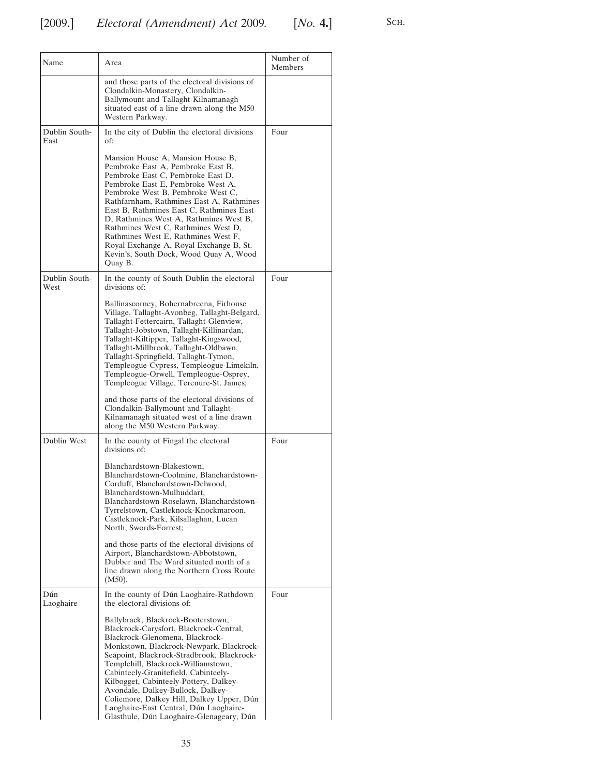| Name                  | Area                                                                                                                                                                                                                                                                                                                                                                                                                                                                                                        | Number of<br>Members |
|-----------------------|-------------------------------------------------------------------------------------------------------------------------------------------------------------------------------------------------------------------------------------------------------------------------------------------------------------------------------------------------------------------------------------------------------------------------------------------------------------------------------------------------------------|----------------------|
|                       | and those parts of the electoral divisions of<br>Clondalkin-Monastery, Clondalkin-<br>Ballymount and Tallaght-Kilnamanagh<br>situated east of a line drawn along the M50<br>Western Parkway.                                                                                                                                                                                                                                                                                                                |                      |
| Dublin South-<br>East | In the city of Dublin the electoral divisions<br>of:                                                                                                                                                                                                                                                                                                                                                                                                                                                        | Four                 |
|                       | Mansion House A, Mansion House B,<br>Pembroke East A, Pembroke East B,<br>Pembroke East C, Pembroke East D,<br>Pembroke East E, Pembroke West A,<br>Pembroke West B, Pembroke West C,<br>Rathfarnham, Rathmines East A, Rathmines<br>East B, Rathmines East C, Rathmines East<br>D, Rathmines West A, Rathmines West B,<br>Rathmines West C, Rathmines West D,<br>Rathmines West E, Rathmines West F,<br>Royal Exchange A, Royal Exchange B, St.<br>Kevin's, South Dock, Wood Quay A, Wood<br>Ouay B.       |                      |
| Dublin South-<br>West | In the county of South Dublin the electoral<br>divisions of:                                                                                                                                                                                                                                                                                                                                                                                                                                                | Four                 |
|                       | Ballinascorney, Bohernabreena, Firhouse<br>Village, Tallaght-Avonbeg, Tallaght-Belgard,<br>Tallaght-Fettercairn, Tallaght-Glenview,<br>Tallaght-Jobstown, Tallaght-Killinardan,<br>Tallaght-Kiltipper, Tallaght-Kingswood,<br>Tallaght-Millbrook, Tallaght-Oldbawn,<br>Tallaght-Springfield, Tallaght-Tymon,<br>Templeogue-Cypress, Templeogue-Limekiln,<br>Templeogue-Orwell, Templeogue-Osprey,<br>Templeogue Village, Terenure-St. James;                                                                |                      |
|                       | and those parts of the electoral divisions of<br>Clondalkin-Ballymount and Tallaght-<br>Kilnamanagh situated west of a line drawn<br>along the M50 Western Parkway.                                                                                                                                                                                                                                                                                                                                         |                      |
| Dublin West           | In the county of Fingal the electoral<br>divisions of:                                                                                                                                                                                                                                                                                                                                                                                                                                                      | Four                 |
|                       | Blanchardstown-Blakestown.<br>Blanchardstown-Coolmine, Blanchardstown-<br>Corduff, Blanchardstown-Delwood,<br>Blanchardstown-Mulhuddart,<br>Blanchardstown-Roselawn, Blanchardstown-<br>Tyrrelstown, Castleknock-Knockmaroon,<br>Castleknock-Park, Kilsallaghan, Lucan<br>North, Swords-Forrest;                                                                                                                                                                                                            |                      |
|                       | and those parts of the electoral divisions of<br>Airport, Blanchardstown-Abbotstown,<br>Dubber and The Ward situated north of a<br>line drawn along the Northern Cross Route<br>$(M50)$ .                                                                                                                                                                                                                                                                                                                   |                      |
| Dún<br>Laoghaire      | In the county of Dún Laoghaire-Rathdown<br>the electoral divisions of:                                                                                                                                                                                                                                                                                                                                                                                                                                      | Four                 |
|                       | Ballybrack, Blackrock-Booterstown,<br>Blackrock-Carysfort, Blackrock-Central,<br>Blackrock-Glenomena, Blackrock-<br>Monkstown, Blackrock-Newpark, Blackrock-<br>Seapoint, Blackrock-Stradbrook, Blackrock-<br>Templehill, Blackrock-Williamstown,<br>Cabinteely-Granitefield, Cabinteely-<br>Kilbogget, Cabinteely-Pottery, Dalkey-<br>Avondale, Dalkey-Bullock, Dalkey-<br>Coliemore, Dalkey Hill, Dalkey Upper, Dún<br>Laoghaire-East Central, Dún Laoghaire-<br>Glasthule, Dún Laoghaire-Glenageary, Dún |                      |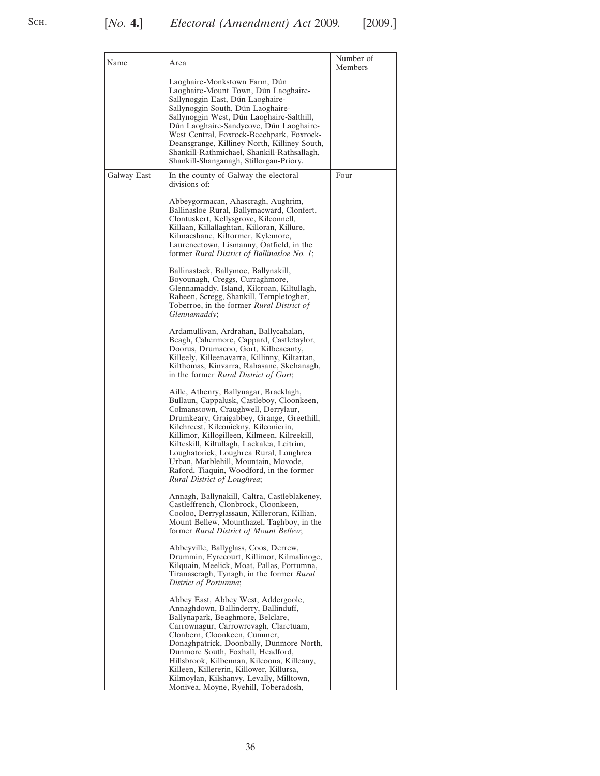| Name        | Area                                                                                                                                                                                                                                                                                                                                                                                                                                                                        | Number of<br>Members |
|-------------|-----------------------------------------------------------------------------------------------------------------------------------------------------------------------------------------------------------------------------------------------------------------------------------------------------------------------------------------------------------------------------------------------------------------------------------------------------------------------------|----------------------|
|             | Laoghaire-Monkstown Farm, Dún<br>Laoghaire-Mount Town, Dún Laoghaire-<br>Sallynoggin East, Dún Laoghaire-<br>Sallynoggin South, Dún Laoghaire-<br>Sallynoggin West, Dún Laoghaire-Salthill,<br>Dún Laoghaire-Sandycove, Dún Laoghaire-<br>West Central, Foxrock-Beechpark, Foxrock-<br>Deansgrange, Killiney North, Killiney South,<br>Shankill-Rathmichael, Shankill-Rathsallagh,<br>Shankill-Shanganagh, Stillorgan-Priory.                                               |                      |
| Galway East | In the county of Galway the electoral<br>divisions of:                                                                                                                                                                                                                                                                                                                                                                                                                      | Four                 |
|             | Abbeygormacan, Ahascragh, Aughrim,<br>Ballinasloe Rural, Ballymacward, Clonfert,<br>Clontuskert, Kellysgrove, Kilconnell,<br>Killaan, Killallaghtan, Killoran, Killure,<br>Kilmacshane, Kiltormer, Kylemore,<br>Laurencetown, Lismanny, Oatfield, in the<br>former Rural District of Ballinasloe No. 1;                                                                                                                                                                     |                      |
|             | Ballinastack, Ballymoe, Ballynakill,<br>Boyounagh, Creggs, Curraghmore,<br>Glennamaddy, Island, Kilcroan, Kiltullagh,<br>Raheen, Scregg, Shankill, Templetogher,<br>Toberroe, in the former Rural District of<br>Glennamaddy;                                                                                                                                                                                                                                               |                      |
|             | Ardamullivan, Ardrahan, Ballycahalan,<br>Beagh, Cahermore, Cappard, Castletaylor,<br>Doorus, Drumacoo, Gort, Kilbeacanty,<br>Killeely, Killeenavarra, Killinny, Kiltartan,<br>Kilthomas, Kinvarra, Rahasane, Skehanagh,<br>in the former <i>Rural District of Gort</i> ;                                                                                                                                                                                                    |                      |
|             | Aille, Athenry, Ballynagar, Bracklagh,<br>Bullaun, Cappalusk, Castleboy, Cloonkeen,<br>Colmanstown, Craughwell, Derrylaur,<br>Drumkeary, Graigabbey, Grange, Greethill,<br>Kilchreest, Kilconickny, Kilconierin,<br>Killimor, Killogilleen, Kilmeen, Kilreekill,<br>Kilteskill, Kiltullagh, Lackalea, Leitrim,<br>Loughatorick, Loughrea Rural, Loughrea<br>Urban, Marblehill, Mountain, Movode,<br>Raford, Tiaquin, Woodford, in the former<br>Rural District of Loughrea; |                      |
|             | Annagh, Ballynakill, Caltra, Castleblakeney,<br>Castleffrench, Clonbrock, Cloonkeen,<br>Cooloo, Derryglassaun, Killeroran, Killian,<br>Mount Bellew, Mounthazel, Taghboy, in the<br>former Rural District of Mount Bellew;                                                                                                                                                                                                                                                  |                      |
|             | Abbeyville, Ballyglass, Coos, Derrew,<br>Drummin, Eyrecourt, Killimor, Kilmalinoge,<br>Kilquain, Meelick, Moat, Pallas, Portumna,<br>Tiranascragh, Tynagh, in the former Rural<br>District of Portumna;                                                                                                                                                                                                                                                                     |                      |
|             | Abbey East, Abbey West, Addergoole,<br>Annaghdown, Ballinderry, Ballinduff,<br>Ballynapark, Beaghmore, Belclare,<br>Carrownagur, Carrowrevagh, Claretuam,<br>Clonbern, Cloonkeen, Cummer,<br>Donaghpatrick, Doonbally, Dunmore North,<br>Dunmore South, Foxhall, Headford,<br>Hillsbrook, Kilbennan, Kilcoona, Killeany,<br>Killeen, Killererin, Killower, Killursa,<br>Kilmoylan, Kilshanvy, Levally, Milltown,<br>Monivea, Moyne, Ryehill, Toberadosh,                    |                      |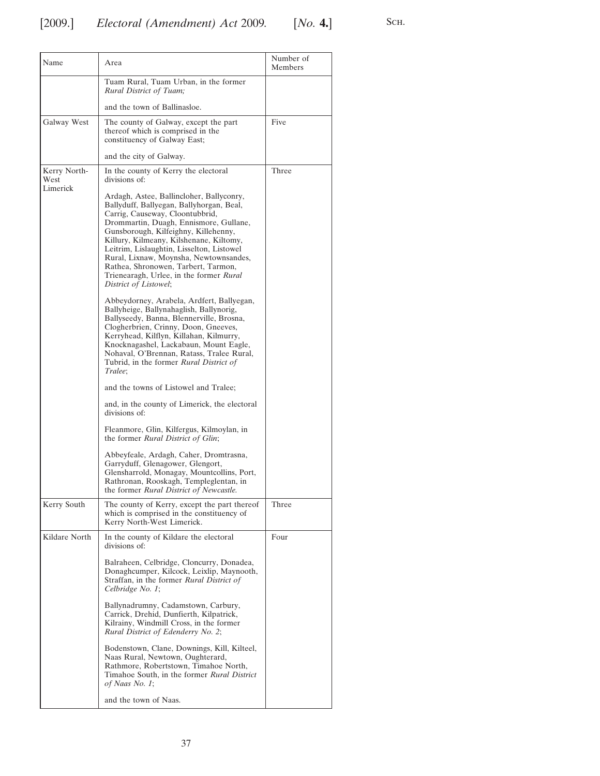| Name                             | Area                                                                                                                                                                                                                                                                                                                                                                                                                                                   | Number of<br>Members |
|----------------------------------|--------------------------------------------------------------------------------------------------------------------------------------------------------------------------------------------------------------------------------------------------------------------------------------------------------------------------------------------------------------------------------------------------------------------------------------------------------|----------------------|
|                                  | Tuam Rural, Tuam Urban, in the former<br>Rural District of Tuam;                                                                                                                                                                                                                                                                                                                                                                                       |                      |
|                                  | and the town of Ballinasloe.                                                                                                                                                                                                                                                                                                                                                                                                                           |                      |
| Galway West                      | The county of Galway, except the part<br>thereof which is comprised in the<br>constituency of Galway East;                                                                                                                                                                                                                                                                                                                                             | Five                 |
|                                  | and the city of Galway.                                                                                                                                                                                                                                                                                                                                                                                                                                |                      |
| Kerry North-<br>West<br>Limerick | In the county of Kerry the electoral<br>divisions of:                                                                                                                                                                                                                                                                                                                                                                                                  | Three                |
|                                  | Ardagh, Astee, Ballincloher, Ballyconry,<br>Ballyduff, Ballyegan, Ballyhorgan, Beal,<br>Carrig, Causeway, Cloontubbrid,<br>Drommartin, Duagh, Ennismore, Gullane,<br>Gunsborough, Kilfeighny, Killehenny,<br>Killury, Kilmeany, Kilshenane, Kiltomy,<br>Leitrim, Lislaughtin, Lisselton, Listowel<br>Rural, Lixnaw, Moynsha, Newtownsandes,<br>Rathea, Shronowen, Tarbert, Tarmon,<br>Trienearagh, Urlee, in the former Rural<br>District of Listowel; |                      |
|                                  | Abbeydorney, Arabela, Ardfert, Ballyegan,<br>Ballyheige, Ballynahaglish, Ballynorig,<br>Ballyseedy, Banna, Blennerville, Brosna,<br>Clogherbrien, Crinny, Doon, Gneeves,<br>Kerryhead, Kilflyn, Killahan, Kilmurry,<br>Knocknagashel, Lackabaun, Mount Eagle,<br>Nohaval, O'Brennan, Ratass, Tralee Rural,<br>Tubrid, in the former <i>Rural District of</i><br>Tralee;                                                                                |                      |
|                                  | and the towns of Listowel and Tralee;                                                                                                                                                                                                                                                                                                                                                                                                                  |                      |
|                                  | and, in the county of Limerick, the electoral<br>divisions of:                                                                                                                                                                                                                                                                                                                                                                                         |                      |
|                                  | Fleanmore, Glin, Kilfergus, Kilmoylan, in<br>the former Rural District of Glin;                                                                                                                                                                                                                                                                                                                                                                        |                      |
|                                  | Abbeyfeale, Ardagh, Caher, Dromtrasna,<br>Garryduff, Glenagower, Glengort,<br>Glensharrold, Monagay, Mountcollins, Port,<br>Rathronan, Rooskagh, Templeglentan, in<br>the former <i>Rural District of Newcastle</i> .                                                                                                                                                                                                                                  |                      |
| Kerry South                      | The county of Kerry, except the part thereof<br>which is comprised in the constituency of<br>Kerry North-West Limerick.                                                                                                                                                                                                                                                                                                                                | Three                |
| Kildare North                    | In the county of Kildare the electoral<br>divisions of:                                                                                                                                                                                                                                                                                                                                                                                                | Four                 |
|                                  | Balraheen, Celbridge, Cloncurry, Donadea,<br>Donaghcumper, Kilcock, Leixlip, Maynooth,<br>Straffan, in the former <i>Rural District of</i><br>Celbridge No. 1;                                                                                                                                                                                                                                                                                         |                      |
|                                  | Ballynadrumny, Cadamstown, Carbury,<br>Carrick, Drehid, Dunfierth, Kilpatrick,<br>Kilrainy, Windmill Cross, in the former<br>Rural District of Edenderry No. 2;                                                                                                                                                                                                                                                                                        |                      |
|                                  | Bodenstown, Clane, Downings, Kill, Kilteel,<br>Naas Rural, Newtown, Oughterard,<br>Rathmore, Robertstown, Timahoe North,<br>Timahoe South, in the former Rural District<br>of Naas No. 1;                                                                                                                                                                                                                                                              |                      |
|                                  | and the town of Naas.                                                                                                                                                                                                                                                                                                                                                                                                                                  |                      |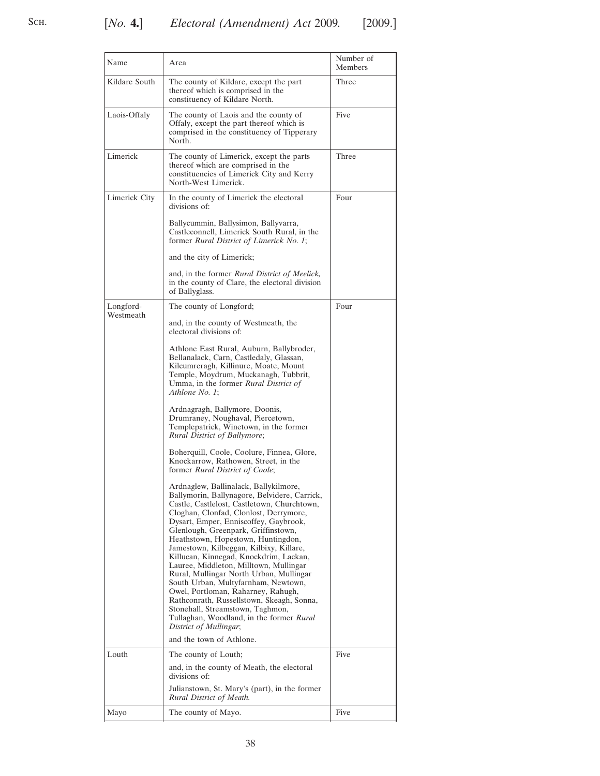| Name          | Area                                                                                                                                                                                                                                                                                                                                                                                                                                                                                                                                                                                                                                                                                                               | Number of<br>Members |
|---------------|--------------------------------------------------------------------------------------------------------------------------------------------------------------------------------------------------------------------------------------------------------------------------------------------------------------------------------------------------------------------------------------------------------------------------------------------------------------------------------------------------------------------------------------------------------------------------------------------------------------------------------------------------------------------------------------------------------------------|----------------------|
| Kildare South | The county of Kildare, except the part<br>thereof which is comprised in the<br>constituency of Kildare North.                                                                                                                                                                                                                                                                                                                                                                                                                                                                                                                                                                                                      | Three                |
| Laois-Offaly  | The county of Laois and the county of<br>Offaly, except the part thereof which is<br>comprised in the constituency of Tipperary<br>North.                                                                                                                                                                                                                                                                                                                                                                                                                                                                                                                                                                          | Five                 |
| Limerick      | The county of Limerick, except the parts<br>thereof which are comprised in the<br>constituencies of Limerick City and Kerry<br>North-West Limerick.                                                                                                                                                                                                                                                                                                                                                                                                                                                                                                                                                                | Three                |
| Limerick City | In the county of Limerick the electoral<br>divisions of:                                                                                                                                                                                                                                                                                                                                                                                                                                                                                                                                                                                                                                                           | Four                 |
|               | Ballycummin, Ballysimon, Ballyvarra,<br>Castleconnell, Limerick South Rural, in the<br>former Rural District of Limerick No. 1;                                                                                                                                                                                                                                                                                                                                                                                                                                                                                                                                                                                    |                      |
|               | and the city of Limerick;                                                                                                                                                                                                                                                                                                                                                                                                                                                                                                                                                                                                                                                                                          |                      |
|               | and, in the former Rural District of Meelick,<br>in the county of Clare, the electoral division<br>of Ballyglass.                                                                                                                                                                                                                                                                                                                                                                                                                                                                                                                                                                                                  |                      |
| Longford-     | The county of Longford;                                                                                                                                                                                                                                                                                                                                                                                                                                                                                                                                                                                                                                                                                            | Four                 |
| Westmeath     | and, in the county of Westmeath, the<br>electoral divisions of:                                                                                                                                                                                                                                                                                                                                                                                                                                                                                                                                                                                                                                                    |                      |
|               | Athlone East Rural, Auburn, Ballybroder,<br>Bellanalack, Carn, Castledaly, Glassan,<br>Kilcumreragh, Killinure, Moate, Mount<br>Temple, Moydrum, Muckanagh, Tubbrit,<br>Umma, in the former Rural District of<br>Athlone No. 1;                                                                                                                                                                                                                                                                                                                                                                                                                                                                                    |                      |
|               | Ardnagragh, Ballymore, Doonis,<br>Drumraney, Noughaval, Piercetown,<br>Templepatrick, Winetown, in the former<br>Rural District of Ballymore;                                                                                                                                                                                                                                                                                                                                                                                                                                                                                                                                                                      |                      |
|               | Boherquill, Coole, Coolure, Finnea, Glore,<br>Knockarrow, Rathowen, Street, in the<br>former Rural District of Coole;                                                                                                                                                                                                                                                                                                                                                                                                                                                                                                                                                                                              |                      |
|               | Ardnaglew, Ballinalack, Ballykilmore,<br>Ballymorin, Ballynagore, Belvidere, Carrick,<br>Castle, Castlelost, Castletown, Churchtown,<br>Cloghan, Clonfad, Clonlost, Derrymore,<br>Dysart, Emper, Enniscoffey, Gaybrook,<br>Glenlough, Greenpark, Griffinstown,<br>Heathstown, Hopestown, Huntingdon,<br>Jamestown, Kilbeggan, Kilbixy, Killare,<br>Killucan, Kinnegad, Knockdrim, Lackan,<br>Lauree, Middleton, Milltown, Mullingar<br>Rural, Mullingar North Urban, Mullingar<br>South Urban, Multyfarnham, Newtown,<br>Owel, Portloman, Raharney, Rahugh,<br>Rathconrath, Russellstown, Skeagh, Sonna,<br>Stonehall, Streamstown, Taghmon,<br>Tullaghan, Woodland, in the former Rural<br>District of Mullingar; |                      |
|               | and the town of Athlone.                                                                                                                                                                                                                                                                                                                                                                                                                                                                                                                                                                                                                                                                                           |                      |
| Louth         | The county of Louth;<br>and, in the county of Meath, the electoral<br>divisions of:                                                                                                                                                                                                                                                                                                                                                                                                                                                                                                                                                                                                                                | Five                 |
|               | Julianstown, St. Mary's (part), in the former<br>Rural District of Meath.                                                                                                                                                                                                                                                                                                                                                                                                                                                                                                                                                                                                                                          |                      |
| Mayo          | The county of Mayo.                                                                                                                                                                                                                                                                                                                                                                                                                                                                                                                                                                                                                                                                                                | Five                 |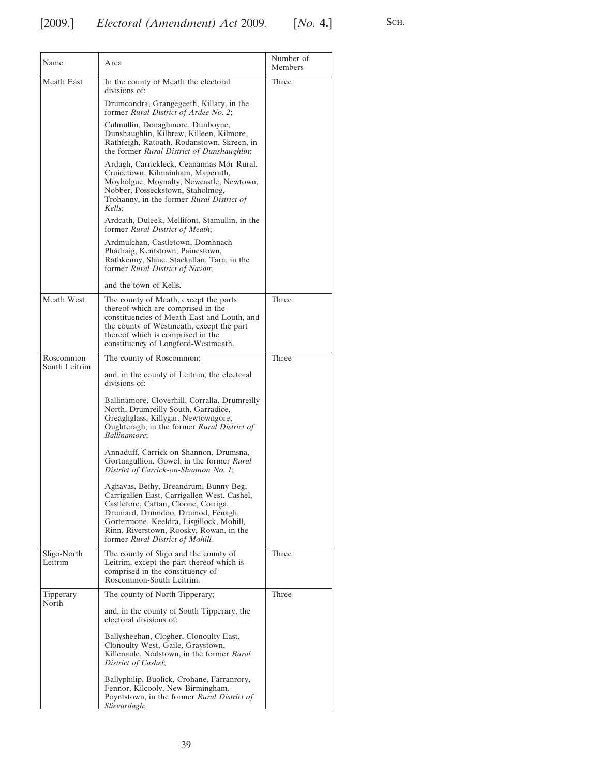| Name                   | Area                                                                                                                                                                                                                                                                                         | Number of<br>Members |
|------------------------|----------------------------------------------------------------------------------------------------------------------------------------------------------------------------------------------------------------------------------------------------------------------------------------------|----------------------|
| Meath East             | In the county of Meath the electoral<br>divisions of:                                                                                                                                                                                                                                        | Three                |
|                        | Drumcondra, Grangegeeth, Killary, in the<br>former Rural District of Ardee No. 2;                                                                                                                                                                                                            |                      |
|                        | Culmullin, Donaghmore, Dunboyne,<br>Dunshaughlin, Kilbrew, Killeen, Kilmore,<br>Rathfeigh, Ratoath, Rodanstown, Skreen, in<br>the former Rural District of Dunshaughlin;                                                                                                                     |                      |
|                        | Ardagh, Carrickleck, Ceanannas Mór Rural,<br>Cruicetown, Kilmainham, Maperath,<br>Moybolgue, Moynalty, Newcastle, Newtown,<br>Nobber, Posseckstown, Staholmog,<br>Trohanny, in the former <i>Rural District of</i><br>Kells;                                                                 |                      |
|                        | Ardcath, Duleek, Mellifont, Stamullin, in the<br>former Rural District of Meath;                                                                                                                                                                                                             |                      |
|                        | Ardmulchan, Castletown, Domhnach<br>Phádraig, Kentstown, Painestown,<br>Rathkenny, Slane, Stackallan, Tara, in the<br>former Rural District of Navan;                                                                                                                                        |                      |
|                        | and the town of Kells.                                                                                                                                                                                                                                                                       |                      |
| Meath West             | The county of Meath, except the parts<br>thereof which are comprised in the<br>constituencies of Meath East and Louth, and<br>the county of Westmeath, except the part<br>thereof which is comprised in the<br>constituency of Longford-Westmeath.                                           | Three                |
| Roscommon-             | The county of Roscommon;                                                                                                                                                                                                                                                                     | Three                |
| South Leitrim          | and, in the county of Leitrim, the electoral<br>divisions of:                                                                                                                                                                                                                                |                      |
|                        | Ballinamore, Cloverhill, Corralla, Drumreilly<br>North, Drumreilly South, Garradice,<br>Greaghglass, Killygar, Newtowngore,<br>Oughteragh, in the former Rural District of<br><i>Ballinamore</i> ;                                                                                           |                      |
|                        | Annaduff, Carrick-on-Shannon, Drumsna,<br>Gortnagullion, Gowel, in the former Rural<br>District of Carrick-on-Shannon No. 1;                                                                                                                                                                 |                      |
|                        | Aghavas, Beihy, Breandrum, Bunny Beg,<br>Carrigallen East, Carrigallen West, Cashel,<br>Castlefore, Cattan, Cloone, Corriga,<br>Drumard, Drumdoo, Drumod, Fenagh,<br>Gortermone, Keeldra, Lisgillock, Mohill,<br>Rinn, Riverstown, Roosky, Rowan, in the<br>former Rural District of Mohill. |                      |
| Sligo-North<br>Leitrim | The county of Sligo and the county of<br>Leitrim, except the part thereof which is<br>comprised in the constituency of<br>Roscommon-South Leitrim.                                                                                                                                           | Three                |
| Tipperary<br>North     | The county of North Tipperary;                                                                                                                                                                                                                                                               | Three                |
|                        | and, in the county of South Tipperary, the<br>electoral divisions of:                                                                                                                                                                                                                        |                      |
|                        | Ballysheehan, Clogher, Clonoulty East,<br>Clonoulty West, Gaile, Graystown,<br>Killenaule, Nodstown, in the former Rural<br>District of Cashel;                                                                                                                                              |                      |
|                        | Ballyphilip, Buolick, Crohane, Farranrory,<br>Fennor, Kilcooly, New Birmingham,<br>Poyntstown, in the former Rural District of<br>Slievardagh;                                                                                                                                               |                      |